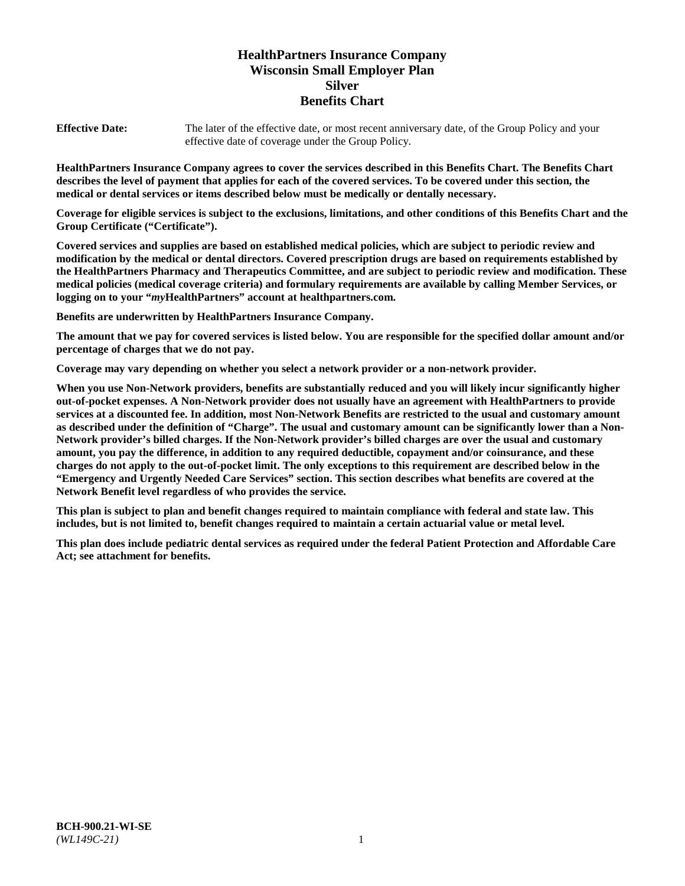# **HealthPartners Insurance Company Wisconsin Small Employer Plan Silver Benefits Chart**

**Effective Date:** The later of the effective date, or most recent anniversary date, of the Group Policy and your effective date of coverage under the Group Policy.

**HealthPartners Insurance Company agrees to cover the services described in this Benefits Chart. The Benefits Chart describes the level of payment that applies for each of the covered services. To be covered under this section, the medical or dental services or items described below must be medically or dentally necessary.**

**Coverage for eligible services is subject to the exclusions, limitations, and other conditions of this Benefits Chart and the Group Certificate ("Certificate").**

**Covered services and supplies are based on established medical policies, which are subject to periodic review and modification by the medical or dental directors. Covered prescription drugs are based on requirements established by the HealthPartners Pharmacy and Therapeutics Committee, and are subject to periodic review and modification. These medical policies (medical coverage criteria) and formulary requirements are available by calling Member Services, or logging on to your "***my***HealthPartners" account at [healthpartners.com.](https://www.healthpartners.com/hp/index.html)**

**Benefits are underwritten by HealthPartners Insurance Company.**

**The amount that we pay for covered services is listed below. You are responsible for the specified dollar amount and/or percentage of charges that we do not pay.**

**Coverage may vary depending on whether you select a network provider or a non-network provider.**

**When you use Non-Network providers, benefits are substantially reduced and you will likely incur significantly higher out-of-pocket expenses. A Non-Network provider does not usually have an agreement with HealthPartners to provide services at a discounted fee. In addition, most Non-Network Benefits are restricted to the usual and customary amount as described under the definition of "Charge". The usual and customary amount can be significantly lower than a Non-Network provider's billed charges. If the Non-Network provider's billed charges are over the usual and customary amount, you pay the difference, in addition to any required deductible, copayment and/or coinsurance, and these charges do not apply to the out-of-pocket limit. The only exceptions to this requirement are described below in the "Emergency and Urgently Needed Care Services" section. This section describes what benefits are covered at the Network Benefit level regardless of who provides the service.**

**This plan is subject to plan and benefit changes required to maintain compliance with federal and state law. This includes, but is not limited to, benefit changes required to maintain a certain actuarial value or metal level.**

**This plan does include pediatric dental services as required under the federal Patient Protection and Affordable Care Act; see attachment for benefits.**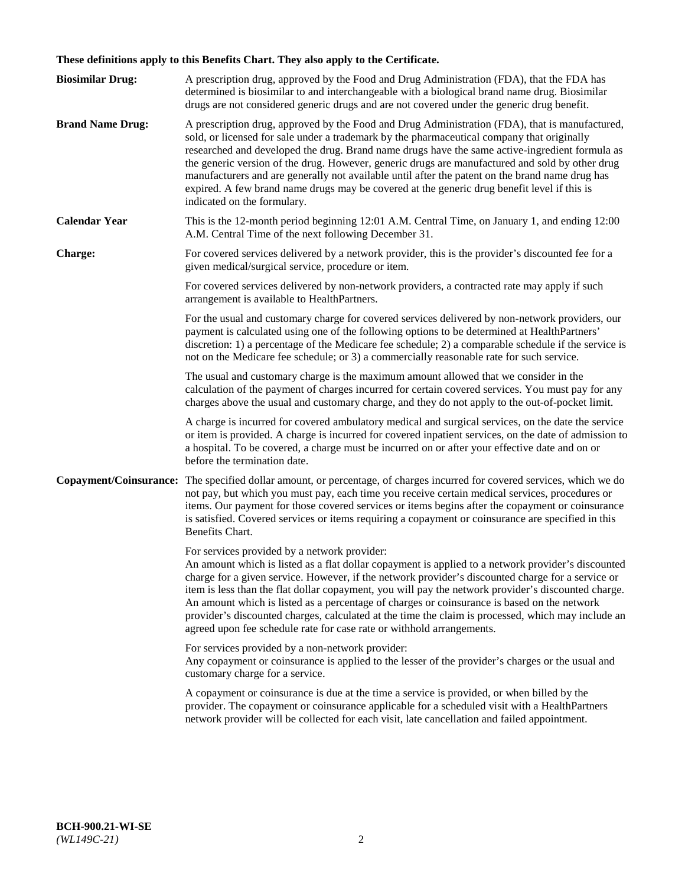# **These definitions apply to this Benefits Chart. They also apply to the Certificate.**

| <b>Biosimilar Drug:</b> | A prescription drug, approved by the Food and Drug Administration (FDA), that the FDA has<br>determined is biosimilar to and interchangeable with a biological brand name drug. Biosimilar<br>drugs are not considered generic drugs and are not covered under the generic drug benefit.                                                                                                                                                                                                                                                                                                                                                     |
|-------------------------|----------------------------------------------------------------------------------------------------------------------------------------------------------------------------------------------------------------------------------------------------------------------------------------------------------------------------------------------------------------------------------------------------------------------------------------------------------------------------------------------------------------------------------------------------------------------------------------------------------------------------------------------|
| <b>Brand Name Drug:</b> | A prescription drug, approved by the Food and Drug Administration (FDA), that is manufactured,<br>sold, or licensed for sale under a trademark by the pharmaceutical company that originally<br>researched and developed the drug. Brand name drugs have the same active-ingredient formula as<br>the generic version of the drug. However, generic drugs are manufactured and sold by other drug<br>manufacturers and are generally not available until after the patent on the brand name drug has<br>expired. A few brand name drugs may be covered at the generic drug benefit level if this is<br>indicated on the formulary.           |
| <b>Calendar Year</b>    | This is the 12-month period beginning 12:01 A.M. Central Time, on January 1, and ending 12:00<br>A.M. Central Time of the next following December 31.                                                                                                                                                                                                                                                                                                                                                                                                                                                                                        |
| <b>Charge:</b>          | For covered services delivered by a network provider, this is the provider's discounted fee for a<br>given medical/surgical service, procedure or item.                                                                                                                                                                                                                                                                                                                                                                                                                                                                                      |
|                         | For covered services delivered by non-network providers, a contracted rate may apply if such<br>arrangement is available to HealthPartners.                                                                                                                                                                                                                                                                                                                                                                                                                                                                                                  |
|                         | For the usual and customary charge for covered services delivered by non-network providers, our<br>payment is calculated using one of the following options to be determined at HealthPartners'<br>discretion: 1) a percentage of the Medicare fee schedule; 2) a comparable schedule if the service is<br>not on the Medicare fee schedule; or 3) a commercially reasonable rate for such service.                                                                                                                                                                                                                                          |
|                         | The usual and customary charge is the maximum amount allowed that we consider in the<br>calculation of the payment of charges incurred for certain covered services. You must pay for any<br>charges above the usual and customary charge, and they do not apply to the out-of-pocket limit.                                                                                                                                                                                                                                                                                                                                                 |
|                         | A charge is incurred for covered ambulatory medical and surgical services, on the date the service<br>or item is provided. A charge is incurred for covered inpatient services, on the date of admission to<br>a hospital. To be covered, a charge must be incurred on or after your effective date and on or<br>before the termination date.                                                                                                                                                                                                                                                                                                |
| Copayment/Coinsurance:  | The specified dollar amount, or percentage, of charges incurred for covered services, which we do<br>not pay, but which you must pay, each time you receive certain medical services, procedures or<br>items. Our payment for those covered services or items begins after the copayment or coinsurance<br>is satisfied. Covered services or items requiring a copayment or coinsurance are specified in this<br>Benefits Chart.                                                                                                                                                                                                             |
|                         | For services provided by a network provider:<br>An amount which is listed as a flat dollar copayment is applied to a network provider's discounted<br>charge for a given service. However, if the network provider's discounted charge for a service or<br>item is less than the flat dollar copayment, you will pay the network provider's discounted charge.<br>An amount which is listed as a percentage of charges or coinsurance is based on the network<br>provider's discounted charges, calculated at the time the claim is processed, which may include an<br>agreed upon fee schedule rate for case rate or withhold arrangements. |
|                         | For services provided by a non-network provider:<br>Any copayment or coinsurance is applied to the lesser of the provider's charges or the usual and<br>customary charge for a service.                                                                                                                                                                                                                                                                                                                                                                                                                                                      |
|                         | A copayment or coinsurance is due at the time a service is provided, or when billed by the<br>provider. The copayment or coinsurance applicable for a scheduled visit with a HealthPartners<br>network provider will be collected for each visit, late cancellation and failed appointment.                                                                                                                                                                                                                                                                                                                                                  |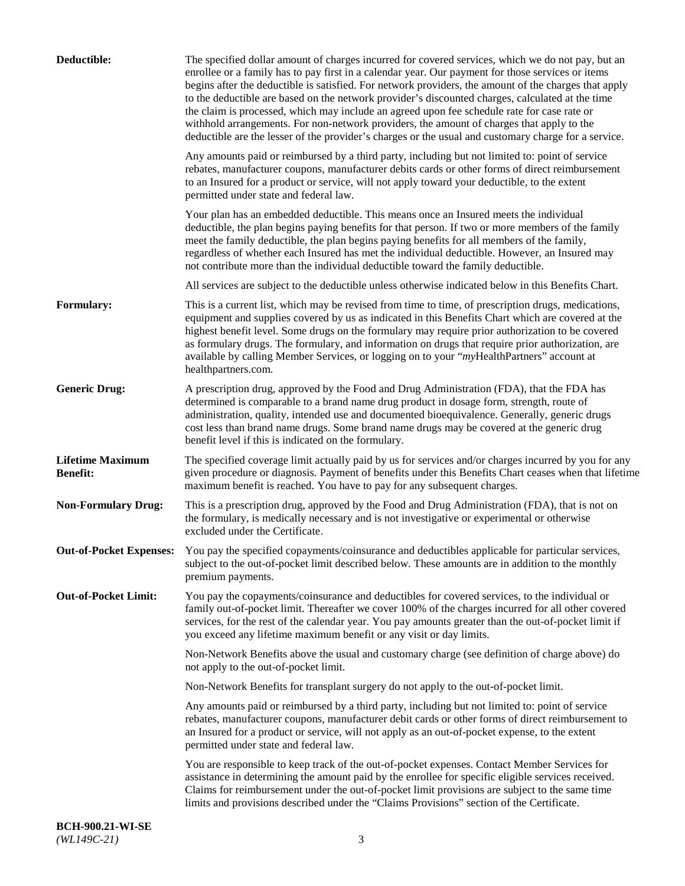| Deductible:                                | The specified dollar amount of charges incurred for covered services, which we do not pay, but an<br>enrollee or a family has to pay first in a calendar year. Our payment for those services or items<br>begins after the deductible is satisfied. For network providers, the amount of the charges that apply<br>to the deductible are based on the network provider's discounted charges, calculated at the time<br>the claim is processed, which may include an agreed upon fee schedule rate for case rate or<br>withhold arrangements. For non-network providers, the amount of charges that apply to the<br>deductible are the lesser of the provider's charges or the usual and customary charge for a service. |
|--------------------------------------------|-------------------------------------------------------------------------------------------------------------------------------------------------------------------------------------------------------------------------------------------------------------------------------------------------------------------------------------------------------------------------------------------------------------------------------------------------------------------------------------------------------------------------------------------------------------------------------------------------------------------------------------------------------------------------------------------------------------------------|
|                                            | Any amounts paid or reimbursed by a third party, including but not limited to: point of service<br>rebates, manufacturer coupons, manufacturer debits cards or other forms of direct reimbursement<br>to an Insured for a product or service, will not apply toward your deductible, to the extent<br>permitted under state and federal law.                                                                                                                                                                                                                                                                                                                                                                            |
|                                            | Your plan has an embedded deductible. This means once an Insured meets the individual<br>deductible, the plan begins paying benefits for that person. If two or more members of the family<br>meet the family deductible, the plan begins paying benefits for all members of the family,<br>regardless of whether each Insured has met the individual deductible. However, an Insured may<br>not contribute more than the individual deductible toward the family deductible.                                                                                                                                                                                                                                           |
|                                            | All services are subject to the deductible unless otherwise indicated below in this Benefits Chart.                                                                                                                                                                                                                                                                                                                                                                                                                                                                                                                                                                                                                     |
| <b>Formulary:</b>                          | This is a current list, which may be revised from time to time, of prescription drugs, medications,<br>equipment and supplies covered by us as indicated in this Benefits Chart which are covered at the<br>highest benefit level. Some drugs on the formulary may require prior authorization to be covered<br>as formulary drugs. The formulary, and information on drugs that require prior authorization, are<br>available by calling Member Services, or logging on to your "myHealthPartners" account at<br>healthpartners.com.                                                                                                                                                                                   |
| <b>Generic Drug:</b>                       | A prescription drug, approved by the Food and Drug Administration (FDA), that the FDA has<br>determined is comparable to a brand name drug product in dosage form, strength, route of<br>administration, quality, intended use and documented bioequivalence. Generally, generic drugs<br>cost less than brand name drugs. Some brand name drugs may be covered at the generic drug<br>benefit level if this is indicated on the formulary.                                                                                                                                                                                                                                                                             |
| <b>Lifetime Maximum</b><br><b>Benefit:</b> | The specified coverage limit actually paid by us for services and/or charges incurred by you for any<br>given procedure or diagnosis. Payment of benefits under this Benefits Chart ceases when that lifetime<br>maximum benefit is reached. You have to pay for any subsequent charges.                                                                                                                                                                                                                                                                                                                                                                                                                                |
| <b>Non-Formulary Drug:</b>                 | This is a prescription drug, approved by the Food and Drug Administration (FDA), that is not on<br>the formulary, is medically necessary and is not investigative or experimental or otherwise<br>excluded under the Certificate.                                                                                                                                                                                                                                                                                                                                                                                                                                                                                       |
|                                            | Out-of-Pocket Expenses: You pay the specified copayments/coinsurance and deductibles applicable for particular services,<br>subject to the out-of-pocket limit described below. These amounts are in addition to the monthly<br>premium payments.                                                                                                                                                                                                                                                                                                                                                                                                                                                                       |
| <b>Out-of-Pocket Limit:</b>                | You pay the copayments/coinsurance and deductibles for covered services, to the individual or<br>family out-of-pocket limit. Thereafter we cover 100% of the charges incurred for all other covered<br>services, for the rest of the calendar year. You pay amounts greater than the out-of-pocket limit if<br>you exceed any lifetime maximum benefit or any visit or day limits.                                                                                                                                                                                                                                                                                                                                      |
|                                            | Non-Network Benefits above the usual and customary charge (see definition of charge above) do<br>not apply to the out-of-pocket limit.                                                                                                                                                                                                                                                                                                                                                                                                                                                                                                                                                                                  |
|                                            | Non-Network Benefits for transplant surgery do not apply to the out-of-pocket limit.                                                                                                                                                                                                                                                                                                                                                                                                                                                                                                                                                                                                                                    |
|                                            | Any amounts paid or reimbursed by a third party, including but not limited to: point of service<br>rebates, manufacturer coupons, manufacturer debit cards or other forms of direct reimbursement to<br>an Insured for a product or service, will not apply as an out-of-pocket expense, to the extent<br>permitted under state and federal law.                                                                                                                                                                                                                                                                                                                                                                        |
|                                            | You are responsible to keep track of the out-of-pocket expenses. Contact Member Services for<br>assistance in determining the amount paid by the enrollee for specific eligible services received.<br>Claims for reimbursement under the out-of-pocket limit provisions are subject to the same time<br>limits and provisions described under the "Claims Provisions" section of the Certificate.                                                                                                                                                                                                                                                                                                                       |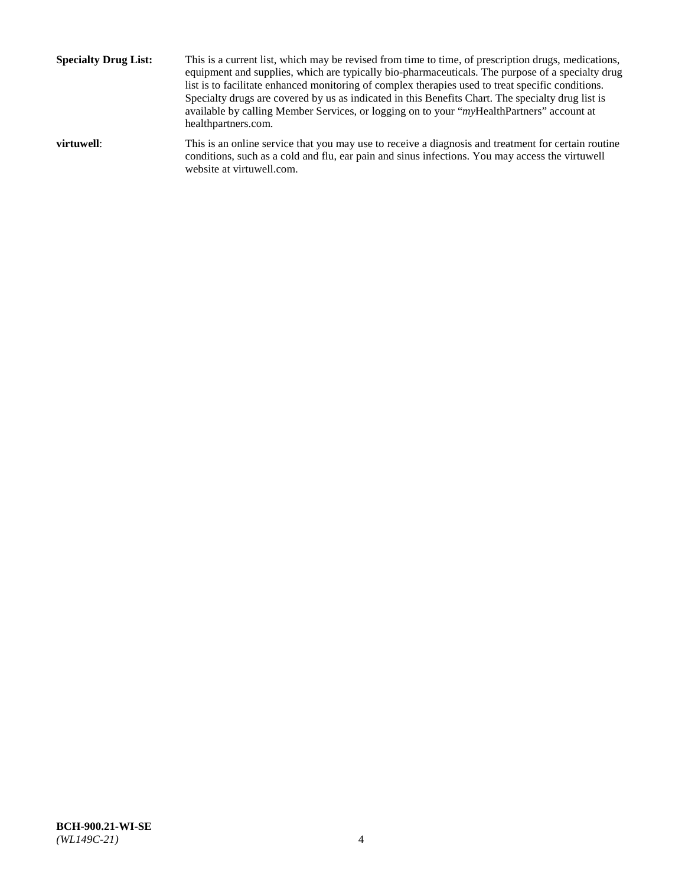**Specialty Drug List:** This is a current list, which may be revised from time to time, of prescription drugs, medications, equipment and supplies, which are typically bio-pharmaceuticals. The purpose of a specialty drug list is to facilitate enhanced monitoring of complex therapies used to treat specific conditions. Specialty drugs are covered by us as indicated in this Benefits Chart. The specialty drug list is available by calling Member Services, or logging on to your "*my*HealthPartners" account at [healthpartners.com.](http://www.healthpartners.com/) **virtuwell:** This is an online service that you may use to receive a diagnosis and treatment for certain routine conditions, such as a cold and flu, ear pain and sinus infections. You may access the virtuwell

website at [virtuwell.com.](http://www.virtuwell.com/)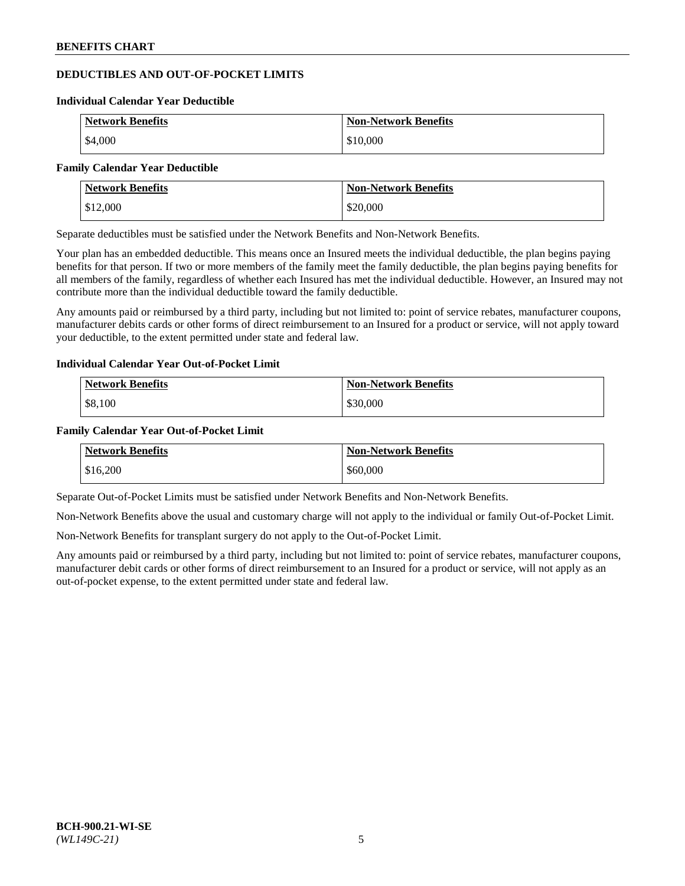# **DEDUCTIBLES AND OUT-OF-POCKET LIMITS**

#### **Individual Calendar Year Deductible**

| <b>Network Benefits</b> | <b>Non-Network Benefits</b> |
|-------------------------|-----------------------------|
| \$4,000                 | \$10,000                    |

#### **Family Calendar Year Deductible**

| <b>Network Benefits</b> | <b>Non-Network Benefits</b> |
|-------------------------|-----------------------------|
| $\frac{1}{2}$ \$12,000  | \$20,000                    |

Separate deductibles must be satisfied under the Network Benefits and Non-Network Benefits.

Your plan has an embedded deductible. This means once an Insured meets the individual deductible, the plan begins paying benefits for that person. If two or more members of the family meet the family deductible, the plan begins paying benefits for all members of the family, regardless of whether each Insured has met the individual deductible. However, an Insured may not contribute more than the individual deductible toward the family deductible.

Any amounts paid or reimbursed by a third party, including but not limited to: point of service rebates, manufacturer coupons, manufacturer debits cards or other forms of direct reimbursement to an Insured for a product or service, will not apply toward your deductible, to the extent permitted under state and federal law.

### **Individual Calendar Year Out-of-Pocket Limit**

| <b>Network Benefits</b> | <b>Non-Network Benefits</b> |
|-------------------------|-----------------------------|
| \$8,100                 | \$30,000                    |

### **Family Calendar Year Out-of-Pocket Limit**

| <b>Network Benefits</b> | <b>Non-Network Benefits</b> |
|-------------------------|-----------------------------|
| \$16,200                | \$60,000                    |

Separate Out-of-Pocket Limits must be satisfied under Network Benefits and Non-Network Benefits.

Non-Network Benefits above the usual and customary charge will not apply to the individual or family Out-of-Pocket Limit.

Non-Network Benefits for transplant surgery do not apply to the Out-of-Pocket Limit.

Any amounts paid or reimbursed by a third party, including but not limited to: point of service rebates, manufacturer coupons, manufacturer debit cards or other forms of direct reimbursement to an Insured for a product or service, will not apply as an out-of-pocket expense, to the extent permitted under state and federal law.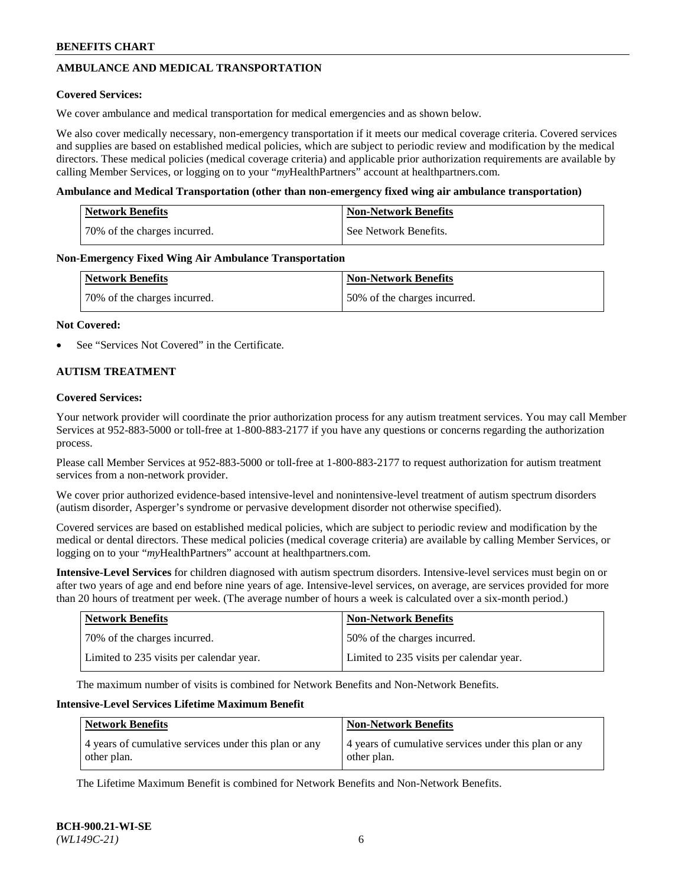## **AMBULANCE AND MEDICAL TRANSPORTATION**

### **Covered Services:**

We cover ambulance and medical transportation for medical emergencies and as shown below.

We also cover medically necessary, non-emergency transportation if it meets our medical coverage criteria. Covered services and supplies are based on established medical policies, which are subject to periodic review and modification by the medical directors. These medical policies (medical coverage criteria) and applicable prior authorization requirements are available by calling Member Services, or logging on to your "*my*HealthPartners" account a[t healthpartners.com.](https://www.healthpartners.com/hp/index.html)

### **Ambulance and Medical Transportation (other than non-emergency fixed wing air ambulance transportation)**

| <b>Network Benefits</b>      | <b>Non-Network Benefits</b> |
|------------------------------|-----------------------------|
| 70% of the charges incurred. | See Network Benefits.       |

### **Non-Emergency Fixed Wing Air Ambulance Transportation**

| <b>Network Benefits</b>      | <b>Non-Network Benefits</b>  |
|------------------------------|------------------------------|
| 70% of the charges incurred. | 50% of the charges incurred. |

### **Not Covered:**

See "Services Not Covered" in the Certificate.

### **AUTISM TREATMENT**

### **Covered Services:**

Your network provider will coordinate the prior authorization process for any autism treatment services. You may call Member Services at 952-883-5000 or toll-free at 1-800-883-2177 if you have any questions or concerns regarding the authorization process.

Please call Member Services at 952-883-5000 or toll-free at 1-800-883-2177 to request authorization for autism treatment services from a non-network provider.

We cover prior authorized evidence-based intensive-level and nonintensive-level treatment of autism spectrum disorders (autism disorder, Asperger's syndrome or pervasive development disorder not otherwise specified).

Covered services are based on established medical policies, which are subject to periodic review and modification by the medical or dental directors. These medical policies (medical coverage criteria) are available by calling Member Services, or logging on to your "*my*HealthPartners" account at [healthpartners.com.](https://www.healthpartners.com/hp/index.html)

**Intensive-Level Services** for children diagnosed with autism spectrum disorders. Intensive-level services must begin on or after two years of age and end before nine years of age. Intensive-level services, on average, are services provided for more than 20 hours of treatment per week. (The average number of hours a week is calculated over a six-month period.)

| Network Benefits                         | <b>Non-Network Benefits</b>              |
|------------------------------------------|------------------------------------------|
| 70% of the charges incurred.             | 50% of the charges incurred.             |
| Limited to 235 visits per calendar year. | Limited to 235 visits per calendar year. |

The maximum number of visits is combined for Network Benefits and Non-Network Benefits.

### **Intensive-Level Services Lifetime Maximum Benefit**

| <b>Network Benefits</b>                                              | <b>Non-Network Benefits</b>                                          |
|----------------------------------------------------------------------|----------------------------------------------------------------------|
| 4 years of cumulative services under this plan or any<br>other plan. | 4 years of cumulative services under this plan or any<br>other plan. |

The Lifetime Maximum Benefit is combined for Network Benefits and Non-Network Benefits.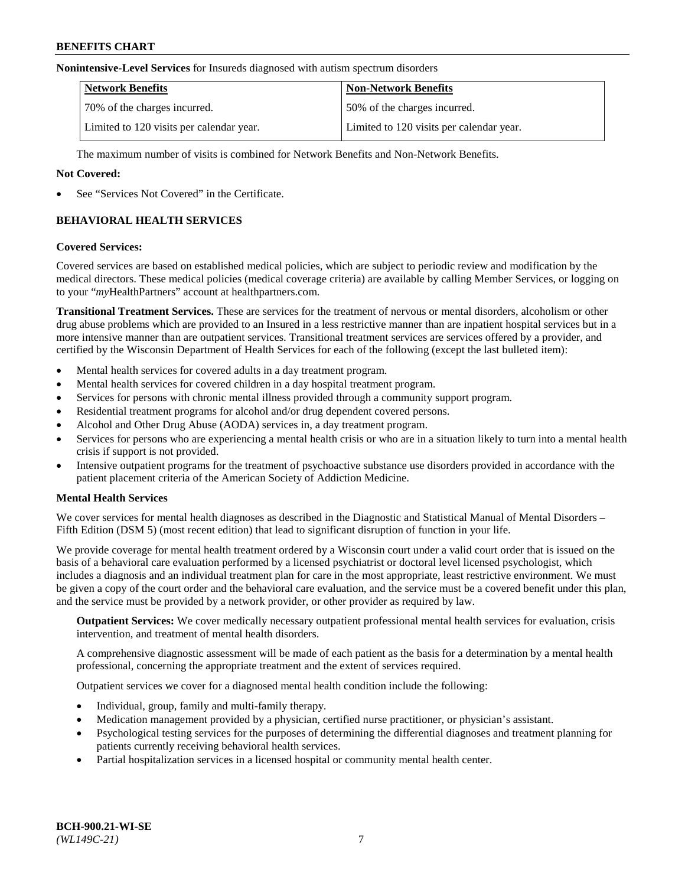#### **Nonintensive-Level Services** for Insureds diagnosed with autism spectrum disorders

| <b>Network Benefits</b>                  | <b>Non-Network Benefits</b>              |
|------------------------------------------|------------------------------------------|
| 70% of the charges incurred.             | 50% of the charges incurred.             |
| Limited to 120 visits per calendar year. | Limited to 120 visits per calendar year. |

The maximum number of visits is combined for Network Benefits and Non-Network Benefits.

### **Not Covered:**

See "Services Not Covered" in the Certificate.

## **BEHAVIORAL HEALTH SERVICES**

### **Covered Services:**

Covered services are based on established medical policies, which are subject to periodic review and modification by the medical directors. These medical policies (medical coverage criteria) are available by calling Member Services, or logging on to your "*my*HealthPartners" account at [healthpartners.com.](https://www.healthpartners.com/hp/index.html)

**Transitional Treatment Services.** These are services for the treatment of nervous or mental disorders, alcoholism or other drug abuse problems which are provided to an Insured in a less restrictive manner than are inpatient hospital services but in a more intensive manner than are outpatient services. Transitional treatment services are services offered by a provider, and certified by the Wisconsin Department of Health Services for each of the following (except the last bulleted item):

- Mental health services for covered adults in a day treatment program.
- Mental health services for covered children in a day hospital treatment program.
- Services for persons with chronic mental illness provided through a community support program.
- Residential treatment programs for alcohol and/or drug dependent covered persons.
- Alcohol and Other Drug Abuse (AODA) services in, a day treatment program.
- Services for persons who are experiencing a mental health crisis or who are in a situation likely to turn into a mental health crisis if support is not provided.
- Intensive outpatient programs for the treatment of psychoactive substance use disorders provided in accordance with the patient placement criteria of the American Society of Addiction Medicine.

### **Mental Health Services**

We cover services for mental health diagnoses as described in the Diagnostic and Statistical Manual of Mental Disorders – Fifth Edition (DSM 5) (most recent edition) that lead to significant disruption of function in your life.

We provide coverage for mental health treatment ordered by a Wisconsin court under a valid court order that is issued on the basis of a behavioral care evaluation performed by a licensed psychiatrist or doctoral level licensed psychologist, which includes a diagnosis and an individual treatment plan for care in the most appropriate, least restrictive environment. We must be given a copy of the court order and the behavioral care evaluation, and the service must be a covered benefit under this plan, and the service must be provided by a network provider, or other provider as required by law.

**Outpatient Services:** We cover medically necessary outpatient professional mental health services for evaluation, crisis intervention, and treatment of mental health disorders.

A comprehensive diagnostic assessment will be made of each patient as the basis for a determination by a mental health professional, concerning the appropriate treatment and the extent of services required.

Outpatient services we cover for a diagnosed mental health condition include the following:

- Individual, group, family and multi-family therapy.
- Medication management provided by a physician, certified nurse practitioner, or physician's assistant.
- Psychological testing services for the purposes of determining the differential diagnoses and treatment planning for patients currently receiving behavioral health services.
- Partial hospitalization services in a licensed hospital or community mental health center.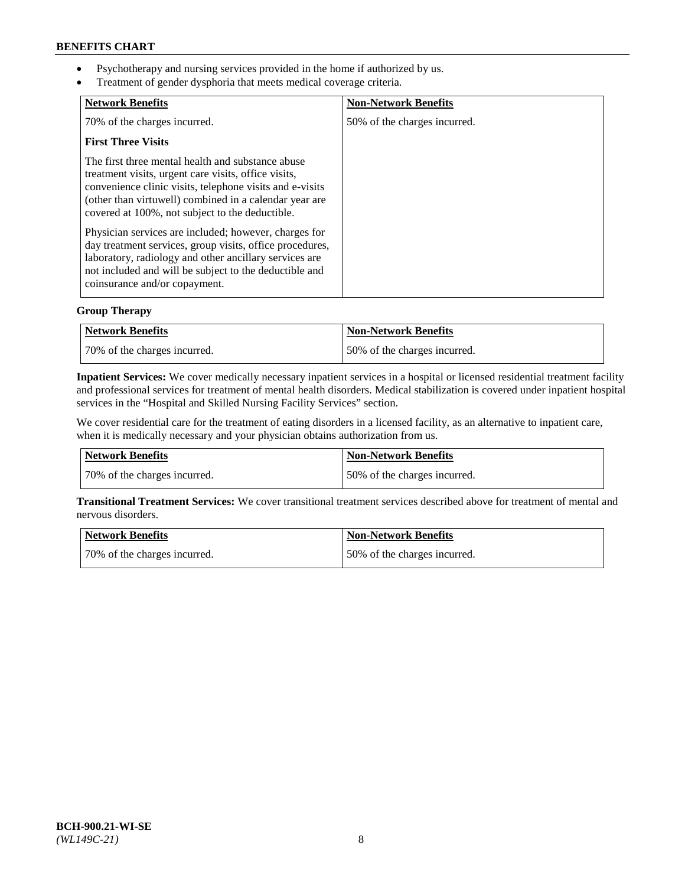- Psychotherapy and nursing services provided in the home if authorized by us.
- Treatment of gender dysphoria that meets medical coverage criteria.

| <b>Network Benefits</b>                                                                                                                                                                                                                                                            | <b>Non-Network Benefits</b>  |
|------------------------------------------------------------------------------------------------------------------------------------------------------------------------------------------------------------------------------------------------------------------------------------|------------------------------|
| 70% of the charges incurred.                                                                                                                                                                                                                                                       | 50% of the charges incurred. |
| <b>First Three Visits</b>                                                                                                                                                                                                                                                          |                              |
| The first three mental health and substance abuse<br>treatment visits, urgent care visits, office visits,<br>convenience clinic visits, telephone visits and e-visits<br>(other than virtuwell) combined in a calendar year are<br>covered at 100%, not subject to the deductible. |                              |
| Physician services are included; however, charges for<br>day treatment services, group visits, office procedures,<br>laboratory, radiology and other ancillary services are<br>not included and will be subject to the deductible and<br>coinsurance and/or copayment.             |                              |

### **Group Therapy**

| Network Benefits             | Non-Network Benefits         |
|------------------------------|------------------------------|
| 70% of the charges incurred. | 50% of the charges incurred. |

**Inpatient Services:** We cover medically necessary inpatient services in a hospital or licensed residential treatment facility and professional services for treatment of mental health disorders. Medical stabilization is covered under inpatient hospital services in the "Hospital and Skilled Nursing Facility Services" section.

We cover residential care for the treatment of eating disorders in a licensed facility, as an alternative to inpatient care, when it is medically necessary and your physician obtains authorization from us.

| Network Benefits             | <b>Non-Network Benefits</b>  |
|------------------------------|------------------------------|
| 70% of the charges incurred. | 50% of the charges incurred. |

**Transitional Treatment Services:** We cover transitional treatment services described above for treatment of mental and nervous disorders.

| Network Benefits             | Non-Network Benefits          |
|------------------------------|-------------------------------|
| 70% of the charges incurred. | 150% of the charges incurred. |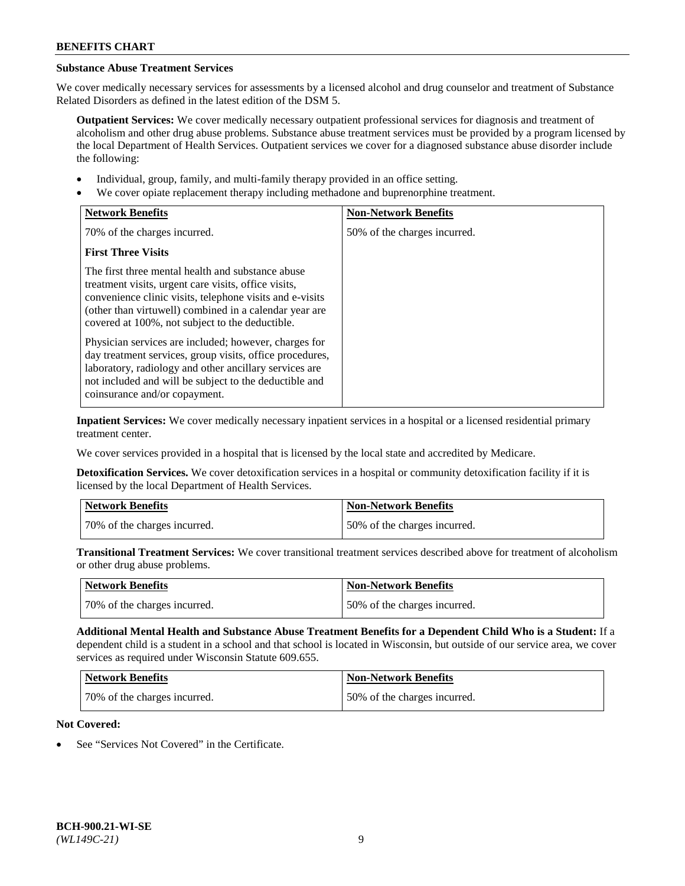# **Substance Abuse Treatment Services**

We cover medically necessary services for assessments by a licensed alcohol and drug counselor and treatment of Substance Related Disorders as defined in the latest edition of the DSM 5.

**Outpatient Services:** We cover medically necessary outpatient professional services for diagnosis and treatment of alcoholism and other drug abuse problems. Substance abuse treatment services must be provided by a program licensed by the local Department of Health Services. Outpatient services we cover for a diagnosed substance abuse disorder include the following:

- Individual, group, family, and multi-family therapy provided in an office setting.
- We cover opiate replacement therapy including methadone and buprenorphine treatment.

| <b>Network Benefits</b>                                                                                                                                                                                                                                                            | <b>Non-Network Benefits</b>  |
|------------------------------------------------------------------------------------------------------------------------------------------------------------------------------------------------------------------------------------------------------------------------------------|------------------------------|
| 70% of the charges incurred.                                                                                                                                                                                                                                                       | 50% of the charges incurred. |
| <b>First Three Visits</b>                                                                                                                                                                                                                                                          |                              |
| The first three mental health and substance abuse<br>treatment visits, urgent care visits, office visits,<br>convenience clinic visits, telephone visits and e-visits<br>(other than virtuwell) combined in a calendar year are<br>covered at 100%, not subject to the deductible. |                              |
| Physician services are included; however, charges for<br>day treatment services, group visits, office procedures,<br>laboratory, radiology and other ancillary services are<br>not included and will be subject to the deductible and<br>coinsurance and/or copayment.             |                              |

**Inpatient Services:** We cover medically necessary inpatient services in a hospital or a licensed residential primary treatment center.

We cover services provided in a hospital that is licensed by the local state and accredited by Medicare.

**Detoxification Services.** We cover detoxification services in a hospital or community detoxification facility if it is licensed by the local Department of Health Services.

| Network Benefits             | <b>Non-Network Benefits</b>  |
|------------------------------|------------------------------|
| 70% of the charges incurred. | 50% of the charges incurred. |

**Transitional Treatment Services:** We cover transitional treatment services described above for treatment of alcoholism or other drug abuse problems.

| <b>Network Benefits</b>      | Non-Network Benefits         |
|------------------------------|------------------------------|
| 70% of the charges incurred. | 50% of the charges incurred. |

**Additional Mental Health and Substance Abuse Treatment Benefits for a Dependent Child Who is a Student:** If a dependent child is a student in a school and that school is located in Wisconsin, but outside of our service area, we cover services as required under Wisconsin Statute 609.655.

| Network Benefits             | <b>Non-Network Benefits</b>  |
|------------------------------|------------------------------|
| 70% of the charges incurred. | 50% of the charges incurred. |

# **Not Covered:**

See "Services Not Covered" in the Certificate.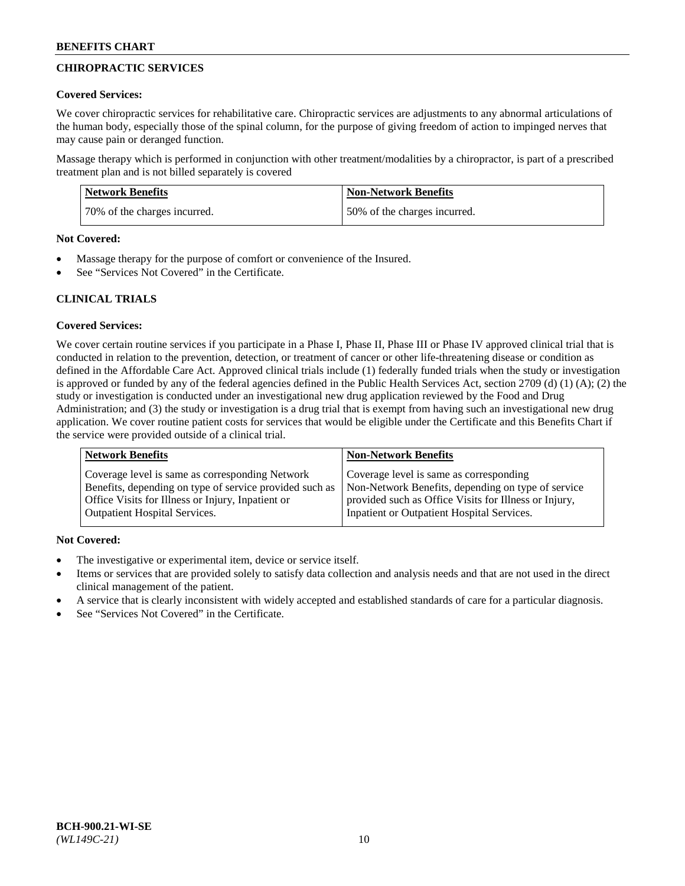## **CHIROPRACTIC SERVICES**

### **Covered Services:**

We cover chiropractic services for rehabilitative care. Chiropractic services are adjustments to any abnormal articulations of the human body, especially those of the spinal column, for the purpose of giving freedom of action to impinged nerves that may cause pain or deranged function.

Massage therapy which is performed in conjunction with other treatment/modalities by a chiropractor, is part of a prescribed treatment plan and is not billed separately is covered

| <b>Network Benefits</b>      | <b>Non-Network Benefits</b>  |
|------------------------------|------------------------------|
| 70% of the charges incurred. | 50% of the charges incurred. |

#### **Not Covered:**

- Massage therapy for the purpose of comfort or convenience of the Insured.
- See "Services Not Covered" in the Certificate.

### **CLINICAL TRIALS**

### **Covered Services:**

We cover certain routine services if you participate in a Phase I, Phase II, Phase III or Phase IV approved clinical trial that is conducted in relation to the prevention, detection, or treatment of cancer or other life-threatening disease or condition as defined in the Affordable Care Act. Approved clinical trials include (1) federally funded trials when the study or investigation is approved or funded by any of the federal agencies defined in the Public Health Services Act, section 2709 (d) (1) (A); (2) the study or investigation is conducted under an investigational new drug application reviewed by the Food and Drug Administration; and (3) the study or investigation is a drug trial that is exempt from having such an investigational new drug application. We cover routine patient costs for services that would be eligible under the Certificate and this Benefits Chart if the service were provided outside of a clinical trial.

| <b>Network Benefits</b>                                 | <b>Non-Network Benefits</b>                           |
|---------------------------------------------------------|-------------------------------------------------------|
| Coverage level is same as corresponding Network         | Coverage level is same as corresponding               |
| Benefits, depending on type of service provided such as | Non-Network Benefits, depending on type of service    |
| Office Visits for Illness or Injury, Inpatient or       | provided such as Office Visits for Illness or Injury, |
| <b>Outpatient Hospital Services.</b>                    | Inpatient or Outpatient Hospital Services.            |

### **Not Covered:**

- The investigative or experimental item, device or service itself.
- Items or services that are provided solely to satisfy data collection and analysis needs and that are not used in the direct clinical management of the patient.
- A service that is clearly inconsistent with widely accepted and established standards of care for a particular diagnosis.
- See "Services Not Covered" in the Certificate.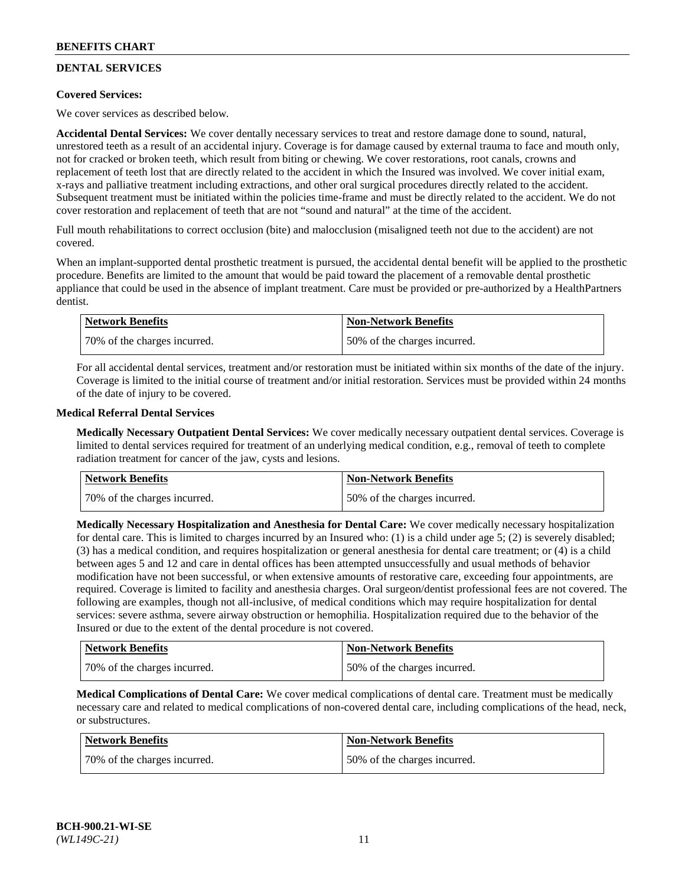## **DENTAL SERVICES**

### **Covered Services:**

We cover services as described below.

**Accidental Dental Services:** We cover dentally necessary services to treat and restore damage done to sound, natural, unrestored teeth as a result of an accidental injury. Coverage is for damage caused by external trauma to face and mouth only, not for cracked or broken teeth, which result from biting or chewing. We cover restorations, root canals, crowns and replacement of teeth lost that are directly related to the accident in which the Insured was involved. We cover initial exam, x-rays and palliative treatment including extractions, and other oral surgical procedures directly related to the accident. Subsequent treatment must be initiated within the policies time-frame and must be directly related to the accident. We do not cover restoration and replacement of teeth that are not "sound and natural" at the time of the accident.

Full mouth rehabilitations to correct occlusion (bite) and malocclusion (misaligned teeth not due to the accident) are not covered.

When an implant-supported dental prosthetic treatment is pursued, the accidental dental benefit will be applied to the prosthetic procedure. Benefits are limited to the amount that would be paid toward the placement of a removable dental prosthetic appliance that could be used in the absence of implant treatment. Care must be provided or pre-authorized by a HealthPartners dentist.

| Network Benefits             | <b>Non-Network Benefits</b>  |
|------------------------------|------------------------------|
| 70% of the charges incurred. | 50% of the charges incurred. |

For all accidental dental services, treatment and/or restoration must be initiated within six months of the date of the injury. Coverage is limited to the initial course of treatment and/or initial restoration. Services must be provided within 24 months of the date of injury to be covered.

### **Medical Referral Dental Services**

**Medically Necessary Outpatient Dental Services:** We cover medically necessary outpatient dental services. Coverage is limited to dental services required for treatment of an underlying medical condition, e.g., removal of teeth to complete radiation treatment for cancer of the jaw, cysts and lesions.

| <b>Network Benefits</b>      | <b>Non-Network Benefits</b>  |
|------------------------------|------------------------------|
| 70% of the charges incurred. | 50% of the charges incurred. |

**Medically Necessary Hospitalization and Anesthesia for Dental Care:** We cover medically necessary hospitalization for dental care. This is limited to charges incurred by an Insured who: (1) is a child under age  $5$ ; (2) is severely disabled; (3) has a medical condition, and requires hospitalization or general anesthesia for dental care treatment; or (4) is a child between ages 5 and 12 and care in dental offices has been attempted unsuccessfully and usual methods of behavior modification have not been successful, or when extensive amounts of restorative care, exceeding four appointments, are required. Coverage is limited to facility and anesthesia charges. Oral surgeon/dentist professional fees are not covered. The following are examples, though not all-inclusive, of medical conditions which may require hospitalization for dental services: severe asthma, severe airway obstruction or hemophilia. Hospitalization required due to the behavior of the Insured or due to the extent of the dental procedure is not covered.

| Network Benefits             | <b>Non-Network Benefits</b>  |
|------------------------------|------------------------------|
| 70% of the charges incurred. | 50% of the charges incurred. |

**Medical Complications of Dental Care:** We cover medical complications of dental care. Treatment must be medically necessary care and related to medical complications of non-covered dental care, including complications of the head, neck, or substructures.

| Network Benefits             | <b>Non-Network Benefits</b>  |
|------------------------------|------------------------------|
| 70% of the charges incurred. | 50% of the charges incurred. |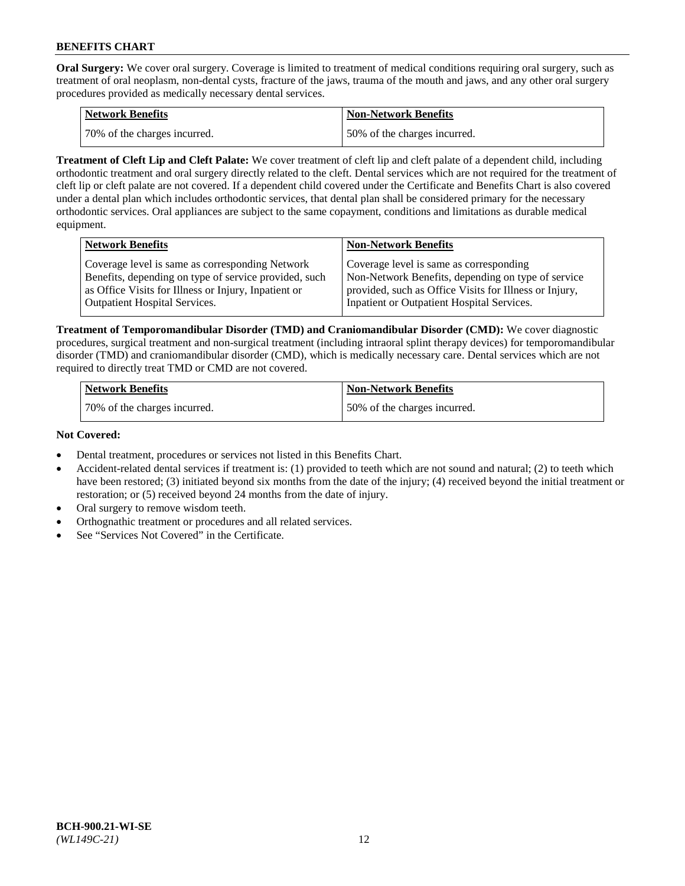**Oral Surgery:** We cover oral surgery. Coverage is limited to treatment of medical conditions requiring oral surgery, such as treatment of oral neoplasm, non-dental cysts, fracture of the jaws, trauma of the mouth and jaws, and any other oral surgery procedures provided as medically necessary dental services.

| <b>Network Benefits</b>      | <b>Non-Network Benefits</b>  |
|------------------------------|------------------------------|
| 70% of the charges incurred. | 50% of the charges incurred. |

**Treatment of Cleft Lip and Cleft Palate:** We cover treatment of cleft lip and cleft palate of a dependent child, including orthodontic treatment and oral surgery directly related to the cleft. Dental services which are not required for the treatment of cleft lip or cleft palate are not covered. If a dependent child covered under the Certificate and Benefits Chart is also covered under a dental plan which includes orthodontic services, that dental plan shall be considered primary for the necessary orthodontic services. Oral appliances are subject to the same copayment, conditions and limitations as durable medical equipment.

| <b>Network Benefits</b>                               | <b>Non-Network Benefits</b>                            |
|-------------------------------------------------------|--------------------------------------------------------|
| Coverage level is same as corresponding Network       | Coverage level is same as corresponding                |
| Benefits, depending on type of service provided, such | Non-Network Benefits, depending on type of service     |
| as Office Visits for Illness or Injury, Inpatient or  | provided, such as Office Visits for Illness or Injury, |
| Outpatient Hospital Services.                         | Inpatient or Outpatient Hospital Services.             |

**Treatment of Temporomandibular Disorder (TMD) and Craniomandibular Disorder (CMD):** We cover diagnostic procedures, surgical treatment and non-surgical treatment (including intraoral splint therapy devices) for temporomandibular disorder (TMD) and craniomandibular disorder (CMD), which is medically necessary care. Dental services which are not required to directly treat TMD or CMD are not covered.

| <b>Network Benefits</b>      | <b>Non-Network Benefits</b>  |
|------------------------------|------------------------------|
| 70% of the charges incurred. | 50% of the charges incurred. |

### **Not Covered:**

- Dental treatment, procedures or services not listed in this Benefits Chart.
- Accident-related dental services if treatment is: (1) provided to teeth which are not sound and natural; (2) to teeth which have been restored; (3) initiated beyond six months from the date of the injury; (4) received beyond the initial treatment or restoration; or (5) received beyond 24 months from the date of injury.
- Oral surgery to remove wisdom teeth.
- Orthognathic treatment or procedures and all related services.
- See "Services Not Covered" in the Certificate.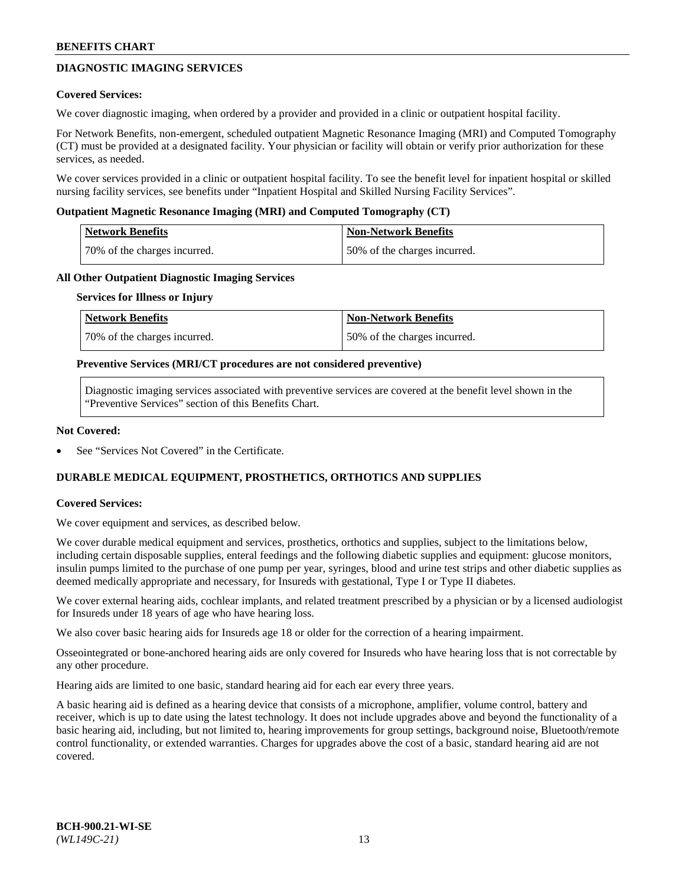## **DIAGNOSTIC IMAGING SERVICES**

### **Covered Services:**

We cover diagnostic imaging, when ordered by a provider and provided in a clinic or outpatient hospital facility.

For Network Benefits, non-emergent, scheduled outpatient Magnetic Resonance Imaging (MRI) and Computed Tomography (CT) must be provided at a designated facility. Your physician or facility will obtain or verify prior authorization for these services, as needed.

We cover services provided in a clinic or outpatient hospital facility. To see the benefit level for inpatient hospital or skilled nursing facility services, see benefits under "Inpatient Hospital and Skilled Nursing Facility Services".

### **Outpatient Magnetic Resonance Imaging (MRI) and Computed Tomography (CT)**

| <b>Network Benefits</b>      | <b>Non-Network Benefits</b>  |
|------------------------------|------------------------------|
| 70% of the charges incurred. | 50% of the charges incurred. |

### **All Other Outpatient Diagnostic Imaging Services**

#### **Services for Illness or Injury**

| Network Benefits             | <b>Non-Network Benefits</b>  |
|------------------------------|------------------------------|
| 70% of the charges incurred. | 50% of the charges incurred. |

### **Preventive Services (MRI/CT procedures are not considered preventive)**

Diagnostic imaging services associated with preventive services are covered at the benefit level shown in the "Preventive Services" section of this Benefits Chart.

### **Not Covered:**

See "Services Not Covered" in the Certificate.

## **DURABLE MEDICAL EQUIPMENT, PROSTHETICS, ORTHOTICS AND SUPPLIES**

#### **Covered Services:**

We cover equipment and services, as described below.

We cover durable medical equipment and services, prosthetics, orthotics and supplies, subject to the limitations below, including certain disposable supplies, enteral feedings and the following diabetic supplies and equipment: glucose monitors, insulin pumps limited to the purchase of one pump per year, syringes, blood and urine test strips and other diabetic supplies as deemed medically appropriate and necessary, for Insureds with gestational, Type I or Type II diabetes.

We cover external hearing aids, cochlear implants, and related treatment prescribed by a physician or by a licensed audiologist for Insureds under 18 years of age who have hearing loss.

We also cover basic hearing aids for Insureds age 18 or older for the correction of a hearing impairment.

Osseointegrated or bone-anchored hearing aids are only covered for Insureds who have hearing loss that is not correctable by any other procedure.

Hearing aids are limited to one basic, standard hearing aid for each ear every three years.

A basic hearing aid is defined as a hearing device that consists of a microphone, amplifier, volume control, battery and receiver, which is up to date using the latest technology. It does not include upgrades above and beyond the functionality of a basic hearing aid, including, but not limited to, hearing improvements for group settings, background noise, Bluetooth/remote control functionality, or extended warranties. Charges for upgrades above the cost of a basic, standard hearing aid are not covered.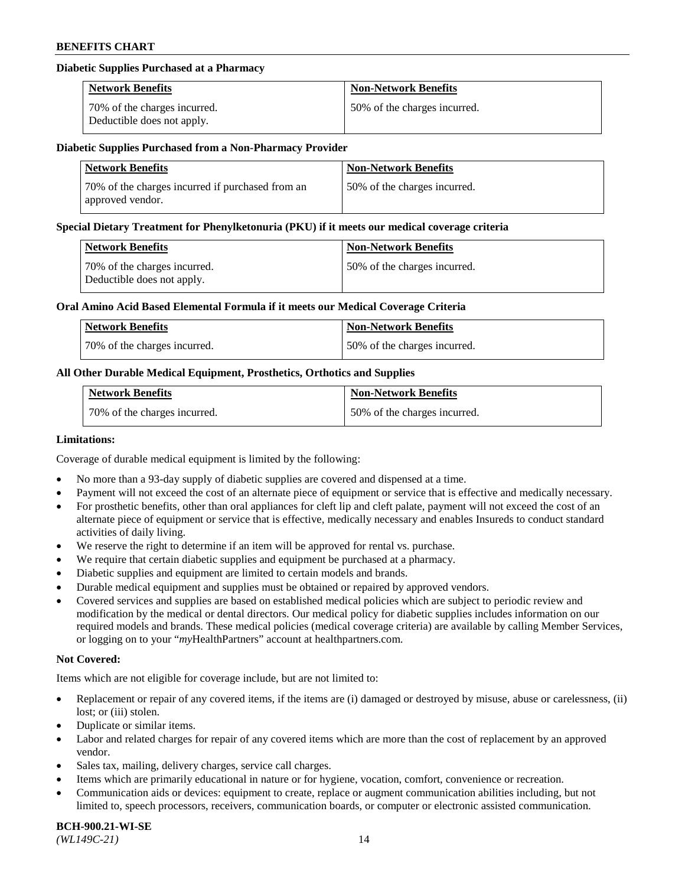### **Diabetic Supplies Purchased at a Pharmacy**

| <b>Network Benefits</b>                                    | <b>Non-Network Benefits</b>  |
|------------------------------------------------------------|------------------------------|
| 70% of the charges incurred.<br>Deductible does not apply. | 50% of the charges incurred. |

#### **Diabetic Supplies Purchased from a Non-Pharmacy Provider**

| <b>Network Benefits</b>                                              | <b>Non-Network Benefits</b>  |
|----------------------------------------------------------------------|------------------------------|
| 70% of the charges incurred if purchased from an<br>approved vendor. | 50% of the charges incurred. |

#### **Special Dietary Treatment for Phenylketonuria (PKU) if it meets our medical coverage criteria**

| Network Benefits                                           | <b>Non-Network Benefits</b>  |
|------------------------------------------------------------|------------------------------|
| 70% of the charges incurred.<br>Deductible does not apply. | 50% of the charges incurred. |

### **Oral Amino Acid Based Elemental Formula if it meets our Medical Coverage Criteria**

| Network Benefits             | <b>Non-Network Benefits</b>  |
|------------------------------|------------------------------|
| 70% of the charges incurred. | 50% of the charges incurred. |

### **All Other Durable Medical Equipment, Prosthetics, Orthotics and Supplies**

| <b>Network Benefits</b>      | <b>Non-Network Benefits</b>  |
|------------------------------|------------------------------|
| 70% of the charges incurred. | 50% of the charges incurred. |

#### **Limitations:**

Coverage of durable medical equipment is limited by the following:

- No more than a 93-day supply of diabetic supplies are covered and dispensed at a time.
- Payment will not exceed the cost of an alternate piece of equipment or service that is effective and medically necessary.
- For prosthetic benefits, other than oral appliances for cleft lip and cleft palate, payment will not exceed the cost of an alternate piece of equipment or service that is effective, medically necessary and enables Insureds to conduct standard
- activities of daily living. We reserve the right to determine if an item will be approved for rental vs. purchase.
- We require that certain diabetic supplies and equipment be purchased at a pharmacy.
- Diabetic supplies and equipment are limited to certain models and brands.
- Durable medical equipment and supplies must be obtained or repaired by approved vendors.
- Covered services and supplies are based on established medical policies which are subject to periodic review and modification by the medical or dental directors. Our medical policy for diabetic supplies includes information on our required models and brands. These medical policies (medical coverage criteria) are available by calling Member Services, or logging on to your "*my*HealthPartners" account a[t healthpartners.com.](https://www.healthpartners.com/hp/index.html)

### **Not Covered:**

Items which are not eligible for coverage include, but are not limited to:

- Replacement or repair of any covered items, if the items are (i) damaged or destroyed by misuse, abuse or carelessness, (ii) lost; or (iii) stolen.
- Duplicate or similar items.
- Labor and related charges for repair of any covered items which are more than the cost of replacement by an approved vendor.
- Sales tax, mailing, delivery charges, service call charges.
- Items which are primarily educational in nature or for hygiene, vocation, comfort, convenience or recreation.
- Communication aids or devices: equipment to create, replace or augment communication abilities including, but not limited to, speech processors, receivers, communication boards, or computer or electronic assisted communication.

#### **BCH-900.21-WI-SE**  *(WL149C-21)* 14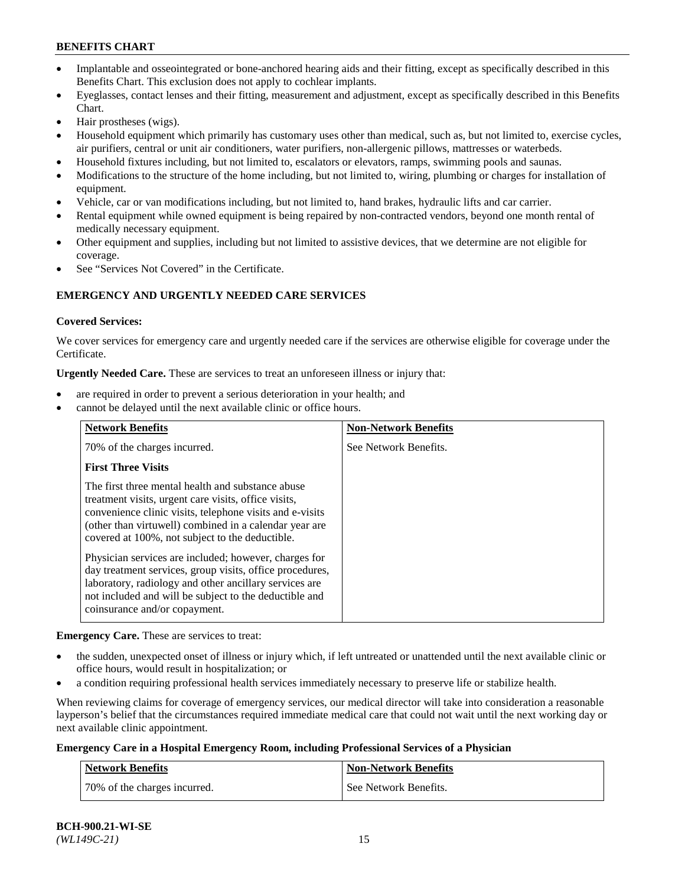- Implantable and osseointegrated or bone-anchored hearing aids and their fitting, except as specifically described in this Benefits Chart. This exclusion does not apply to cochlear implants.
- Eyeglasses, contact lenses and their fitting, measurement and adjustment, except as specifically described in this Benefits Chart.
- Hair prostheses (wigs).
- Household equipment which primarily has customary uses other than medical, such as, but not limited to, exercise cycles, air purifiers, central or unit air conditioners, water purifiers, non-allergenic pillows, mattresses or waterbeds.
- Household fixtures including, but not limited to, escalators or elevators, ramps, swimming pools and saunas.
- Modifications to the structure of the home including, but not limited to, wiring, plumbing or charges for installation of equipment.
- Vehicle, car or van modifications including, but not limited to, hand brakes, hydraulic lifts and car carrier.
- Rental equipment while owned equipment is being repaired by non-contracted vendors, beyond one month rental of medically necessary equipment.
- Other equipment and supplies, including but not limited to assistive devices, that we determine are not eligible for coverage.
- See "Services Not Covered" in the Certificate.

## **EMERGENCY AND URGENTLY NEEDED CARE SERVICES**

### **Covered Services:**

We cover services for emergency care and urgently needed care if the services are otherwise eligible for coverage under the Certificate.

**Urgently Needed Care.** These are services to treat an unforeseen illness or injury that:

- are required in order to prevent a serious deterioration in your health; and
- cannot be delayed until the next available clinic or office hours.

| <b>Network Benefits</b>                                                                                                                                                                                                                                                            | <b>Non-Network Benefits</b> |
|------------------------------------------------------------------------------------------------------------------------------------------------------------------------------------------------------------------------------------------------------------------------------------|-----------------------------|
| 70% of the charges incurred.                                                                                                                                                                                                                                                       | See Network Benefits.       |
| <b>First Three Visits</b>                                                                                                                                                                                                                                                          |                             |
| The first three mental health and substance abuse<br>treatment visits, urgent care visits, office visits,<br>convenience clinic visits, telephone visits and e-visits<br>(other than virtuwell) combined in a calendar year are<br>covered at 100%, not subject to the deductible. |                             |
| Physician services are included; however, charges for<br>day treatment services, group visits, office procedures,<br>laboratory, radiology and other ancillary services are<br>not included and will be subject to the deductible and<br>coinsurance and/or copayment.             |                             |

**Emergency Care.** These are services to treat:

- the sudden, unexpected onset of illness or injury which, if left untreated or unattended until the next available clinic or office hours, would result in hospitalization; or
- a condition requiring professional health services immediately necessary to preserve life or stabilize health.

When reviewing claims for coverage of emergency services, our medical director will take into consideration a reasonable layperson's belief that the circumstances required immediate medical care that could not wait until the next working day or next available clinic appointment.

### **Emergency Care in a Hospital Emergency Room, including Professional Services of a Physician**

| <b>Network Benefits</b>      | Non-Network Benefits  |
|------------------------------|-----------------------|
| 70% of the charges incurred. | See Network Benefits. |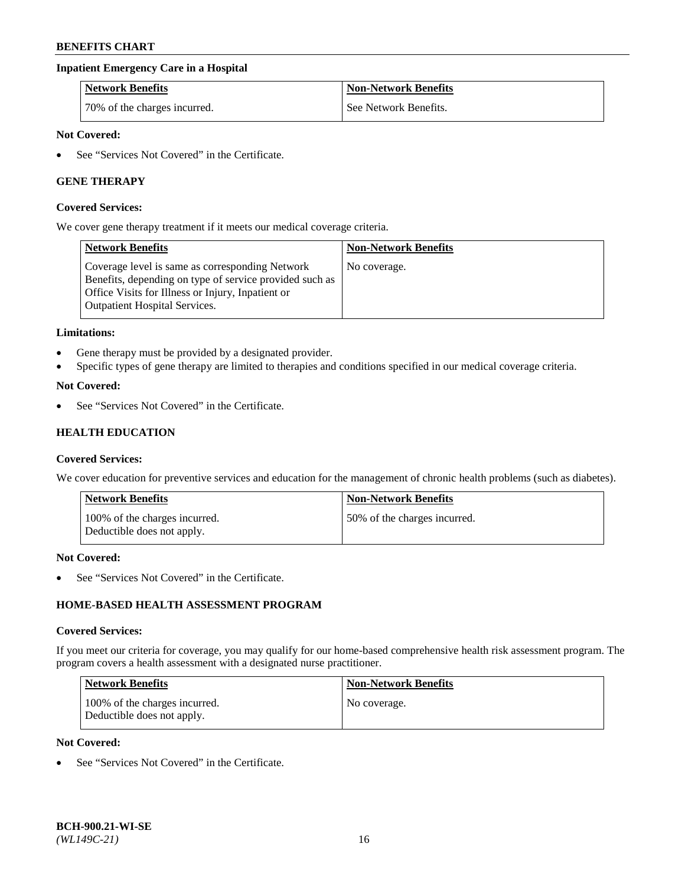### **Inpatient Emergency Care in a Hospital**

| <b>Network Benefits</b>      | <b>Non-Network Benefits</b> |
|------------------------------|-----------------------------|
| 70% of the charges incurred. | See Network Benefits.       |

### **Not Covered:**

See "Services Not Covered" in the Certificate.

### **GENE THERAPY**

#### **Covered Services:**

We cover gene therapy treatment if it meets our medical coverage criteria.

| <b>Network Benefits</b>                                                                                                                                                                                 | <b>Non-Network Benefits</b> |
|---------------------------------------------------------------------------------------------------------------------------------------------------------------------------------------------------------|-----------------------------|
| Coverage level is same as corresponding Network<br>Benefits, depending on type of service provided such as<br>Office Visits for Illness or Injury, Inpatient or<br><b>Outpatient Hospital Services.</b> | No coverage.                |

#### **Limitations:**

- Gene therapy must be provided by a designated provider.
- Specific types of gene therapy are limited to therapies and conditions specified in our medical coverage criteria.

### **Not Covered:**

See "Services Not Covered" in the Certificate.

## **HEALTH EDUCATION**

#### **Covered Services:**

We cover education for preventive services and education for the management of chronic health problems (such as diabetes).

| <b>Network Benefits</b>                                     | <b>Non-Network Benefits</b>  |
|-------------------------------------------------------------|------------------------------|
| 100% of the charges incurred.<br>Deductible does not apply. | 50% of the charges incurred. |

#### **Not Covered:**

See "Services Not Covered" in the Certificate.

## **HOME-BASED HEALTH ASSESSMENT PROGRAM**

#### **Covered Services:**

If you meet our criteria for coverage, you may qualify for our home-based comprehensive health risk assessment program. The program covers a health assessment with a designated nurse practitioner.

| <b>Network Benefits</b>                                     | Non-Network Benefits |
|-------------------------------------------------------------|----------------------|
| 100% of the charges incurred.<br>Deductible does not apply. | No coverage.         |

### **Not Covered:**

• See "Services Not Covered" in the Certificate.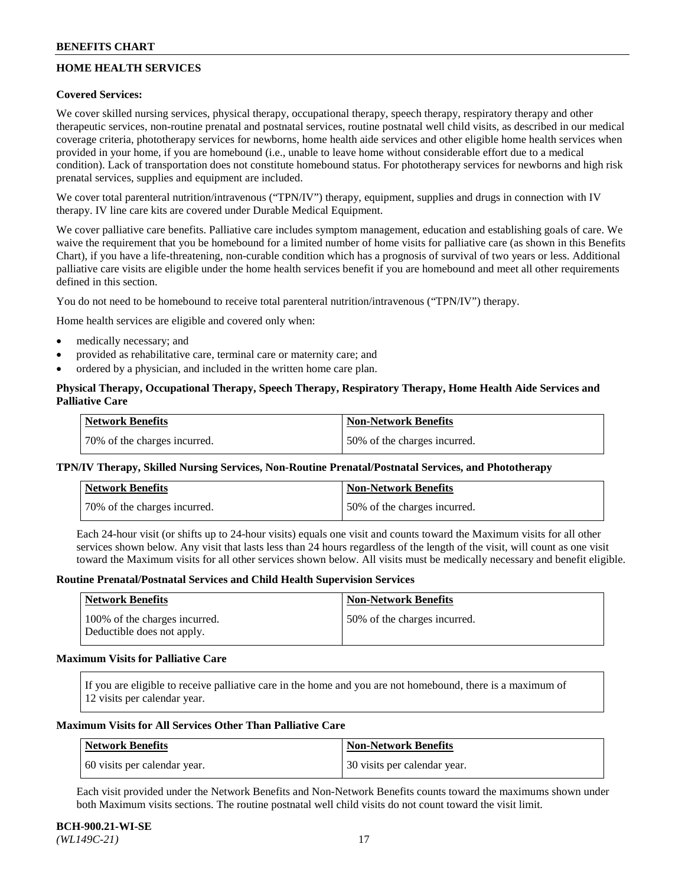## **HOME HEALTH SERVICES**

### **Covered Services:**

We cover skilled nursing services, physical therapy, occupational therapy, speech therapy, respiratory therapy and other therapeutic services, non-routine prenatal and postnatal services, routine postnatal well child visits, as described in our medical coverage criteria, phototherapy services for newborns, home health aide services and other eligible home health services when provided in your home, if you are homebound (i.e., unable to leave home without considerable effort due to a medical condition). Lack of transportation does not constitute homebound status. For phototherapy services for newborns and high risk prenatal services, supplies and equipment are included.

We cover total parenteral nutrition/intravenous ("TPN/IV") therapy, equipment, supplies and drugs in connection with IV therapy. IV line care kits are covered under Durable Medical Equipment.

We cover palliative care benefits. Palliative care includes symptom management, education and establishing goals of care. We waive the requirement that you be homebound for a limited number of home visits for palliative care (as shown in this Benefits Chart), if you have a life-threatening, non-curable condition which has a prognosis of survival of two years or less. Additional palliative care visits are eligible under the home health services benefit if you are homebound and meet all other requirements defined in this section.

You do not need to be homebound to receive total parenteral nutrition/intravenous ("TPN/IV") therapy.

Home health services are eligible and covered only when:

- medically necessary; and
- provided as rehabilitative care, terminal care or maternity care; and
- ordered by a physician, and included in the written home care plan.

### **Physical Therapy, Occupational Therapy, Speech Therapy, Respiratory Therapy, Home Health Aide Services and Palliative Care**

| Network Benefits             | <b>Non-Network Benefits</b>  |
|------------------------------|------------------------------|
| 70% of the charges incurred. | 50% of the charges incurred. |

### **TPN/IV Therapy, Skilled Nursing Services, Non-Routine Prenatal/Postnatal Services, and Phototherapy**

| Network Benefits             | <b>Non-Network Benefits</b>  |
|------------------------------|------------------------------|
| 70% of the charges incurred. | 50% of the charges incurred. |

Each 24-hour visit (or shifts up to 24-hour visits) equals one visit and counts toward the Maximum visits for all other services shown below. Any visit that lasts less than 24 hours regardless of the length of the visit, will count as one visit toward the Maximum visits for all other services shown below. All visits must be medically necessary and benefit eligible.

#### **Routine Prenatal/Postnatal Services and Child Health Supervision Services**

| Network Benefits                                            | <b>Non-Network Benefits</b>  |
|-------------------------------------------------------------|------------------------------|
| 100% of the charges incurred.<br>Deductible does not apply. | 50% of the charges incurred. |

### **Maximum Visits for Palliative Care**

If you are eligible to receive palliative care in the home and you are not homebound, there is a maximum of 12 visits per calendar year.

### **Maximum Visits for All Services Other Than Palliative Care**

| Network Benefits             | Non-Network Benefits         |
|------------------------------|------------------------------|
| 60 visits per calendar year. | 30 visits per calendar year. |

Each visit provided under the Network Benefits and Non-Network Benefits counts toward the maximums shown under both Maximum visits sections. The routine postnatal well child visits do not count toward the visit limit.

#### **BCH-900.21-WI-SE**  *(WL149C-21)* 17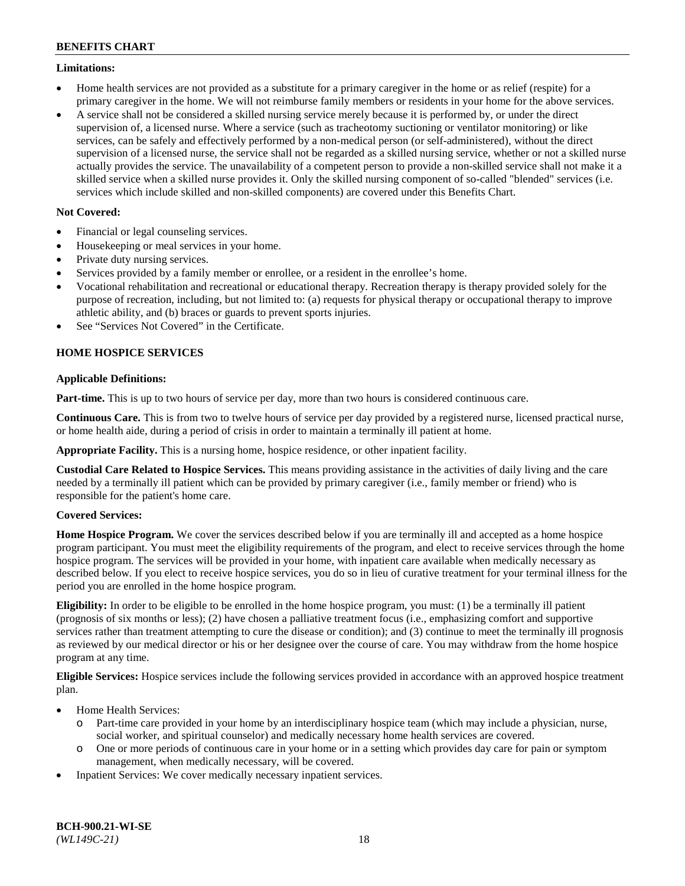### **Limitations:**

- Home health services are not provided as a substitute for a primary caregiver in the home or as relief (respite) for a primary caregiver in the home. We will not reimburse family members or residents in your home for the above services.
- A service shall not be considered a skilled nursing service merely because it is performed by, or under the direct supervision of, a licensed nurse. Where a service (such as tracheotomy suctioning or ventilator monitoring) or like services, can be safely and effectively performed by a non-medical person (or self-administered), without the direct supervision of a licensed nurse, the service shall not be regarded as a skilled nursing service, whether or not a skilled nurse actually provides the service. The unavailability of a competent person to provide a non-skilled service shall not make it a skilled service when a skilled nurse provides it. Only the skilled nursing component of so-called "blended" services (i.e. services which include skilled and non-skilled components) are covered under this Benefits Chart.

### **Not Covered:**

- Financial or legal counseling services.
- Housekeeping or meal services in your home.
- Private duty nursing services.
- Services provided by a family member or enrollee, or a resident in the enrollee's home.
- Vocational rehabilitation and recreational or educational therapy. Recreation therapy is therapy provided solely for the purpose of recreation, including, but not limited to: (a) requests for physical therapy or occupational therapy to improve athletic ability, and (b) braces or guards to prevent sports injuries.
- See "Services Not Covered" in the Certificate.

## **HOME HOSPICE SERVICES**

### **Applicable Definitions:**

**Part-time.** This is up to two hours of service per day, more than two hours is considered continuous care.

**Continuous Care.** This is from two to twelve hours of service per day provided by a registered nurse, licensed practical nurse, or home health aide, during a period of crisis in order to maintain a terminally ill patient at home.

**Appropriate Facility.** This is a nursing home, hospice residence, or other inpatient facility.

**Custodial Care Related to Hospice Services.** This means providing assistance in the activities of daily living and the care needed by a terminally ill patient which can be provided by primary caregiver (i.e., family member or friend) who is responsible for the patient's home care.

### **Covered Services:**

**Home Hospice Program.** We cover the services described below if you are terminally ill and accepted as a home hospice program participant. You must meet the eligibility requirements of the program, and elect to receive services through the home hospice program. The services will be provided in your home, with inpatient care available when medically necessary as described below. If you elect to receive hospice services, you do so in lieu of curative treatment for your terminal illness for the period you are enrolled in the home hospice program.

**Eligibility:** In order to be eligible to be enrolled in the home hospice program, you must: (1) be a terminally ill patient (prognosis of six months or less); (2) have chosen a palliative treatment focus (i.e., emphasizing comfort and supportive services rather than treatment attempting to cure the disease or condition); and (3) continue to meet the terminally ill prognosis as reviewed by our medical director or his or her designee over the course of care. You may withdraw from the home hospice program at any time.

**Eligible Services:** Hospice services include the following services provided in accordance with an approved hospice treatment plan.

- Home Health Services:
	- o Part-time care provided in your home by an interdisciplinary hospice team (which may include a physician, nurse, social worker, and spiritual counselor) and medically necessary home health services are covered.
	- o One or more periods of continuous care in your home or in a setting which provides day care for pain or symptom management, when medically necessary, will be covered.
- Inpatient Services: We cover medically necessary inpatient services.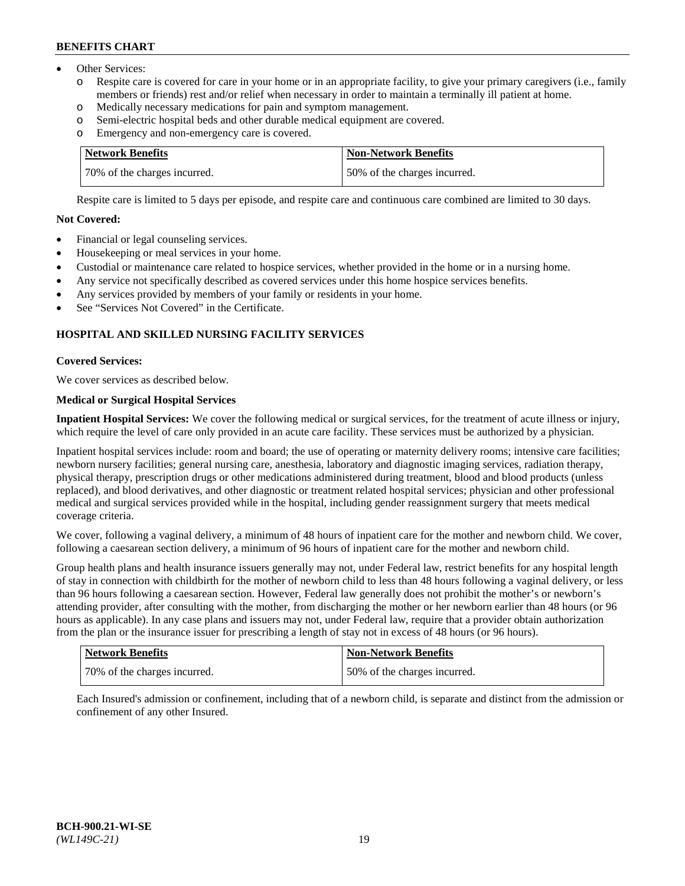- Other Services:
	- Respite care is covered for care in your home or in an appropriate facility, to give your primary caregivers (i.e., family members or friends) rest and/or relief when necessary in order to maintain a terminally ill patient at home.
	- o Medically necessary medications for pain and symptom management.
	- o Semi-electric hospital beds and other durable medical equipment are covered.
	- Emergency and non-emergency care is covered.

| Network Benefits             | Non-Network Benefits         |
|------------------------------|------------------------------|
| 70% of the charges incurred. | 50% of the charges incurred. |

Respite care is limited to 5 days per episode, and respite care and continuous care combined are limited to 30 days.

### **Not Covered:**

- Financial or legal counseling services.
- Housekeeping or meal services in your home.
- Custodial or maintenance care related to hospice services, whether provided in the home or in a nursing home.
- Any service not specifically described as covered services under this home hospice services benefits.
- Any services provided by members of your family or residents in your home.
- See "Services Not Covered" in the Certificate.

## **HOSPITAL AND SKILLED NURSING FACILITY SERVICES**

### **Covered Services:**

We cover services as described below.

## **Medical or Surgical Hospital Services**

**Inpatient Hospital Services:** We cover the following medical or surgical services, for the treatment of acute illness or injury, which require the level of care only provided in an acute care facility. These services must be authorized by a physician.

Inpatient hospital services include: room and board; the use of operating or maternity delivery rooms; intensive care facilities; newborn nursery facilities; general nursing care, anesthesia, laboratory and diagnostic imaging services, radiation therapy, physical therapy, prescription drugs or other medications administered during treatment, blood and blood products (unless replaced), and blood derivatives, and other diagnostic or treatment related hospital services; physician and other professional medical and surgical services provided while in the hospital, including gender reassignment surgery that meets medical coverage criteria.

We cover, following a vaginal delivery, a minimum of 48 hours of inpatient care for the mother and newborn child. We cover, following a caesarean section delivery, a minimum of 96 hours of inpatient care for the mother and newborn child.

Group health plans and health insurance issuers generally may not, under Federal law, restrict benefits for any hospital length of stay in connection with childbirth for the mother of newborn child to less than 48 hours following a vaginal delivery, or less than 96 hours following a caesarean section. However, Federal law generally does not prohibit the mother's or newborn's attending provider, after consulting with the mother, from discharging the mother or her newborn earlier than 48 hours (or 96 hours as applicable). In any case plans and issuers may not, under Federal law, require that a provider obtain authorization from the plan or the insurance issuer for prescribing a length of stay not in excess of 48 hours (or 96 hours).

| Network Benefits             | Non-Network Benefits         |
|------------------------------|------------------------------|
| 70% of the charges incurred. | 50% of the charges incurred. |

Each Insured's admission or confinement, including that of a newborn child, is separate and distinct from the admission or confinement of any other Insured.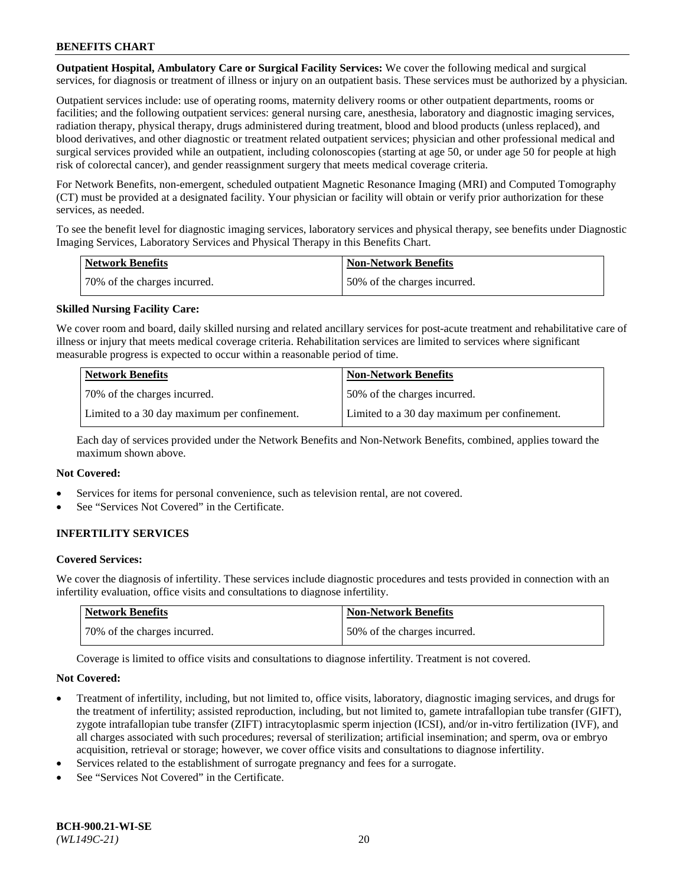**Outpatient Hospital, Ambulatory Care or Surgical Facility Services:** We cover the following medical and surgical services, for diagnosis or treatment of illness or injury on an outpatient basis. These services must be authorized by a physician.

Outpatient services include: use of operating rooms, maternity delivery rooms or other outpatient departments, rooms or facilities; and the following outpatient services: general nursing care, anesthesia, laboratory and diagnostic imaging services, radiation therapy, physical therapy, drugs administered during treatment, blood and blood products (unless replaced), and blood derivatives, and other diagnostic or treatment related outpatient services; physician and other professional medical and surgical services provided while an outpatient, including colonoscopies (starting at age 50, or under age 50 for people at high risk of colorectal cancer), and gender reassignment surgery that meets medical coverage criteria.

For Network Benefits, non-emergent, scheduled outpatient Magnetic Resonance Imaging (MRI) and Computed Tomography (CT) must be provided at a designated facility. Your physician or facility will obtain or verify prior authorization for these services, as needed.

To see the benefit level for diagnostic imaging services, laboratory services and physical therapy, see benefits under Diagnostic Imaging Services, Laboratory Services and Physical Therapy in this Benefits Chart.

| <b>Network Benefits</b>      | <b>Non-Network Benefits</b>  |
|------------------------------|------------------------------|
| 70% of the charges incurred. | 50% of the charges incurred. |

### **Skilled Nursing Facility Care:**

We cover room and board, daily skilled nursing and related ancillary services for post-acute treatment and rehabilitative care of illness or injury that meets medical coverage criteria. Rehabilitation services are limited to services where significant measurable progress is expected to occur within a reasonable period of time.

| <b>Network Benefits</b>                      | <b>Non-Network Benefits</b>                  |
|----------------------------------------------|----------------------------------------------|
| 70\% of the charges incurred.                | 150% of the charges incurred.                |
| Limited to a 30 day maximum per confinement. | Limited to a 30 day maximum per confinement. |

Each day of services provided under the Network Benefits and Non-Network Benefits, combined, applies toward the maximum shown above.

#### **Not Covered:**

- Services for items for personal convenience, such as television rental, are not covered.
- See "Services Not Covered" in the Certificate.

### **INFERTILITY SERVICES**

#### **Covered Services:**

We cover the diagnosis of infertility. These services include diagnostic procedures and tests provided in connection with an infertility evaluation, office visits and consultations to diagnose infertility.

| <b>Network Benefits</b>      | <b>Non-Network Benefits</b>  |
|------------------------------|------------------------------|
| 70% of the charges incurred. | 50% of the charges incurred. |

Coverage is limited to office visits and consultations to diagnose infertility. Treatment is not covered.

#### **Not Covered:**

- Treatment of infertility, including, but not limited to, office visits, laboratory, diagnostic imaging services, and drugs for the treatment of infertility; assisted reproduction, including, but not limited to, gamete intrafallopian tube transfer (GIFT), zygote intrafallopian tube transfer (ZIFT) intracytoplasmic sperm injection (ICSI), and/or in-vitro fertilization (IVF), and all charges associated with such procedures; reversal of sterilization; artificial insemination; and sperm, ova or embryo acquisition, retrieval or storage; however, we cover office visits and consultations to diagnose infertility.
- Services related to the establishment of surrogate pregnancy and fees for a surrogate.
- See "Services Not Covered" in the Certificate.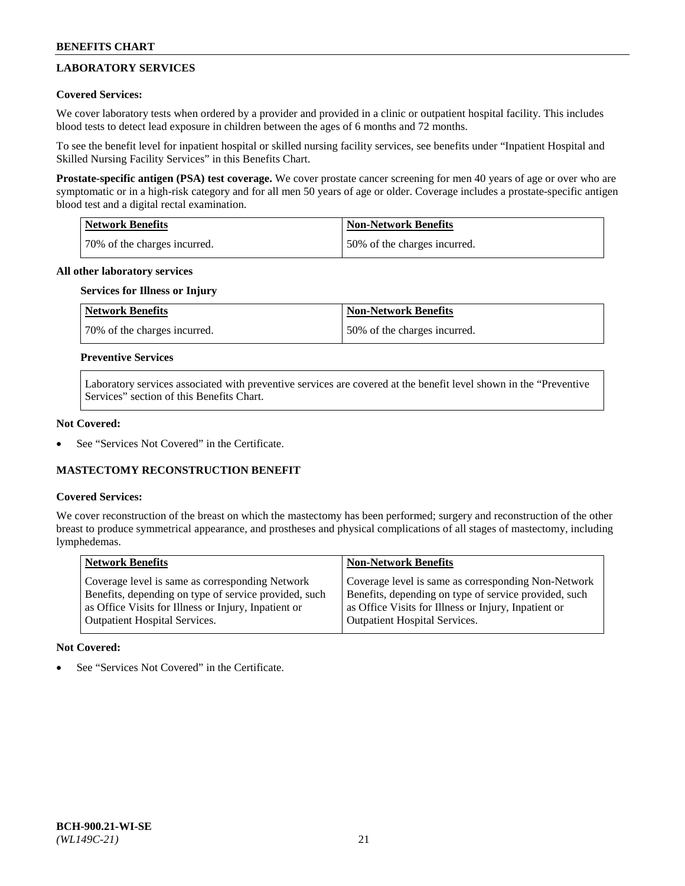## **LABORATORY SERVICES**

### **Covered Services:**

We cover laboratory tests when ordered by a provider and provided in a clinic or outpatient hospital facility. This includes blood tests to detect lead exposure in children between the ages of 6 months and 72 months.

To see the benefit level for inpatient hospital or skilled nursing facility services, see benefits under "Inpatient Hospital and Skilled Nursing Facility Services" in this Benefits Chart.

**Prostate-specific antigen (PSA) test coverage.** We cover prostate cancer screening for men 40 years of age or over who are symptomatic or in a high-risk category and for all men 50 years of age or older. Coverage includes a prostate-specific antigen blood test and a digital rectal examination.

| Network Benefits             | <b>Non-Network Benefits</b>  |
|------------------------------|------------------------------|
| 70% of the charges incurred. | 50% of the charges incurred. |

### **All other laboratory services**

## **Services for Illness or Injury**

| <b>Network Benefits</b>      | Non-Network Benefits         |
|------------------------------|------------------------------|
| 70% of the charges incurred. | 50% of the charges incurred. |

### **Preventive Services**

Laboratory services associated with preventive services are covered at the benefit level shown in the "Preventive Services" section of this Benefits Chart.

### **Not Covered:**

See "Services Not Covered" in the Certificate.

### **MASTECTOMY RECONSTRUCTION BENEFIT**

#### **Covered Services:**

We cover reconstruction of the breast on which the mastectomy has been performed; surgery and reconstruction of the other breast to produce symmetrical appearance, and prostheses and physical complications of all stages of mastectomy, including lymphedemas.

| <b>Network Benefits</b>                               | <b>Non-Network Benefits</b>                           |
|-------------------------------------------------------|-------------------------------------------------------|
| Coverage level is same as corresponding Network       | Coverage level is same as corresponding Non-Network   |
| Benefits, depending on type of service provided, such | Benefits, depending on type of service provided, such |
| as Office Visits for Illness or Injury, Inpatient or  | as Office Visits for Illness or Injury, Inpatient or  |
| Outpatient Hospital Services.                         | <b>Outpatient Hospital Services.</b>                  |

#### **Not Covered:**

See "Services Not Covered" in the Certificate.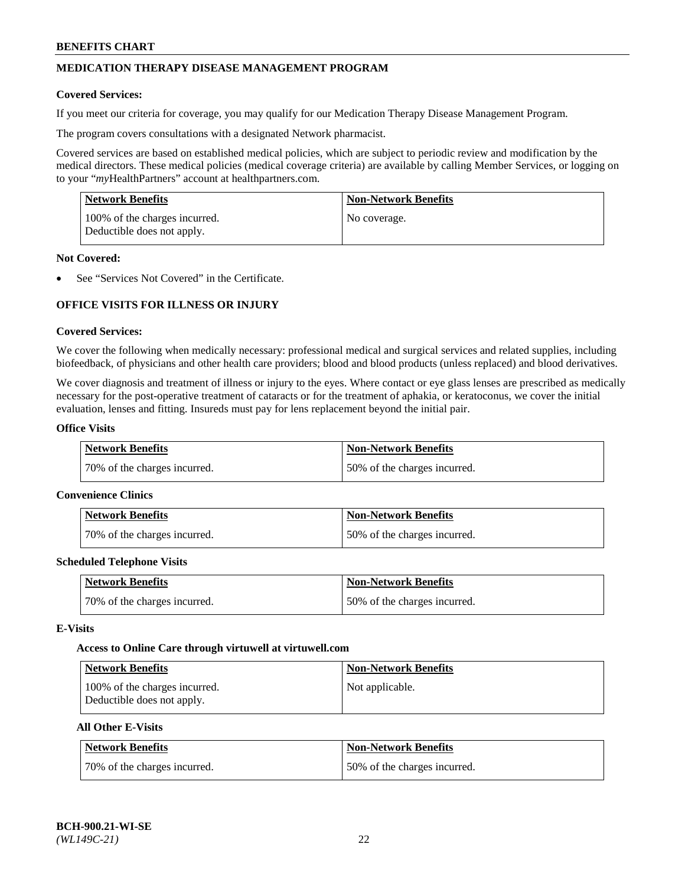## **MEDICATION THERAPY DISEASE MANAGEMENT PROGRAM**

### **Covered Services:**

If you meet our criteria for coverage, you may qualify for our Medication Therapy Disease Management Program.

The program covers consultations with a designated Network pharmacist.

Covered services are based on established medical policies, which are subject to periodic review and modification by the medical directors. These medical policies (medical coverage criteria) are available by calling Member Services, or logging on to your "*my*HealthPartners" account at [healthpartners.com.](http://www.healthpartners.com/)

| Network Benefits                                            | <b>Non-Network Benefits</b> |
|-------------------------------------------------------------|-----------------------------|
| 100% of the charges incurred.<br>Deductible does not apply. | No coverage.                |

### **Not Covered:**

See "Services Not Covered" in the Certificate.

## **OFFICE VISITS FOR ILLNESS OR INJURY**

#### **Covered Services:**

We cover the following when medically necessary: professional medical and surgical services and related supplies, including biofeedback, of physicians and other health care providers; blood and blood products (unless replaced) and blood derivatives.

We cover diagnosis and treatment of illness or injury to the eyes. Where contact or eye glass lenses are prescribed as medically necessary for the post-operative treatment of cataracts or for the treatment of aphakia, or keratoconus, we cover the initial evaluation, lenses and fitting. Insureds must pay for lens replacement beyond the initial pair.

## **Office Visits**

| Network Benefits             | <b>Non-Network Benefits</b>  |
|------------------------------|------------------------------|
| 70% of the charges incurred. | 50% of the charges incurred. |

#### **Convenience Clinics**

| Network Benefits             | <b>Non-Network Benefits</b>  |
|------------------------------|------------------------------|
| 70% of the charges incurred. | 50% of the charges incurred. |

#### **Scheduled Telephone Visits**

| <b>Network Benefits</b>      | <b>Non-Network Benefits</b>  |
|------------------------------|------------------------------|
| 70% of the charges incurred. | 50% of the charges incurred. |

### **E-Visits**

#### **Access to Online Care through virtuwell a[t virtuwell.com](https://www.virtuwell.com/)**

| <b>Network Benefits</b>                                     | <b>Non-Network Benefits</b> |
|-------------------------------------------------------------|-----------------------------|
| 100% of the charges incurred.<br>Deductible does not apply. | Not applicable.             |

### **All Other E-Visits**

| Network Benefits             | <b>Non-Network Benefits</b>  |
|------------------------------|------------------------------|
| 70% of the charges incurred. | 50% of the charges incurred. |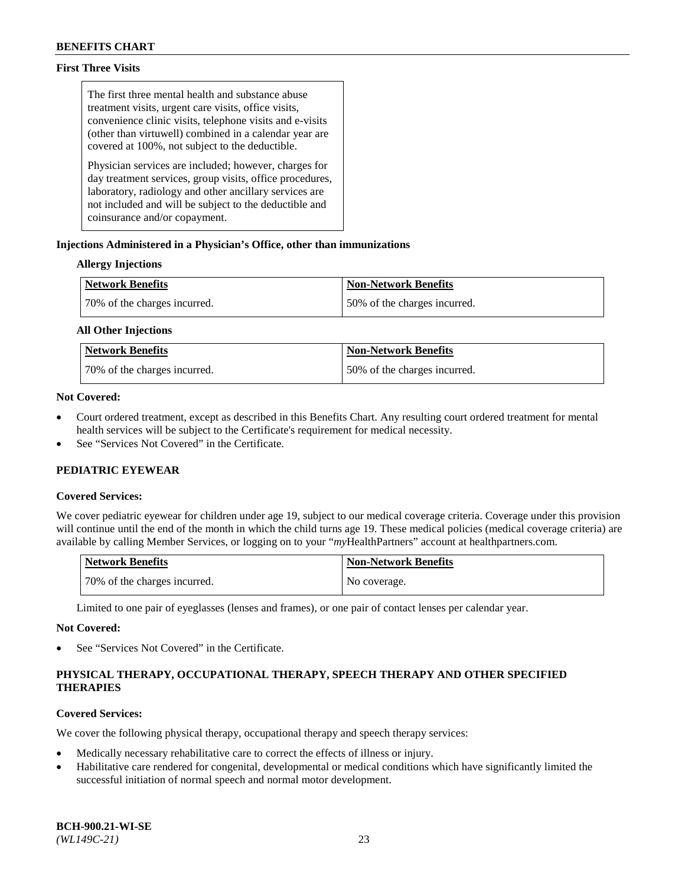### **First Three Visits**

The first three mental health and substance abuse treatment visits, urgent care visits, office visits, convenience clinic visits, telephone visits and e-visits (other than virtuwell) combined in a calendar year are covered at 100%, not subject to the deductible.

Physician services are included; however, charges for day treatment services, group visits, office procedures, laboratory, radiology and other ancillary services are not included and will be subject to the deductible and coinsurance and/or copayment.

### **Injections Administered in a Physician's Office, other than immunizations**

### **Allergy Injections**

| <b>Network Benefits</b>      | <b>Non-Network Benefits</b>  |
|------------------------------|------------------------------|
| 70% of the charges incurred. | 50% of the charges incurred. |

#### **All Other Injections**

| <b>Network Benefits</b>      | <b>Non-Network Benefits</b>  |
|------------------------------|------------------------------|
| 70% of the charges incurred. | 50% of the charges incurred. |

### **Not Covered:**

- Court ordered treatment, except as described in this Benefits Chart. Any resulting court ordered treatment for mental health services will be subject to the Certificate's requirement for medical necessity.
- See "Services Not Covered" in the Certificate.

### **PEDIATRIC EYEWEAR**

#### **Covered Services:**

We cover pediatric eyewear for children under age 19, subject to our medical coverage criteria. Coverage under this provision will continue until the end of the month in which the child turns age 19. These medical policies (medical coverage criteria) are available by calling Member Services, or logging on to your "*my*HealthPartners" account a[t healthpartners.com.](https://www.healthpartners.com/hp/index.html)

| Network Benefits             | <b>Non-Network Benefits</b> |
|------------------------------|-----------------------------|
| 70% of the charges incurred. | No coverage.                |

Limited to one pair of eyeglasses (lenses and frames), or one pair of contact lenses per calendar year.

#### **Not Covered:**

See "Services Not Covered" in the Certificate.

## **PHYSICAL THERAPY, OCCUPATIONAL THERAPY, SPEECH THERAPY AND OTHER SPECIFIED THERAPIES**

### **Covered Services:**

We cover the following physical therapy, occupational therapy and speech therapy services:

- Medically necessary rehabilitative care to correct the effects of illness or injury.
- Habilitative care rendered for congenital, developmental or medical conditions which have significantly limited the successful initiation of normal speech and normal motor development.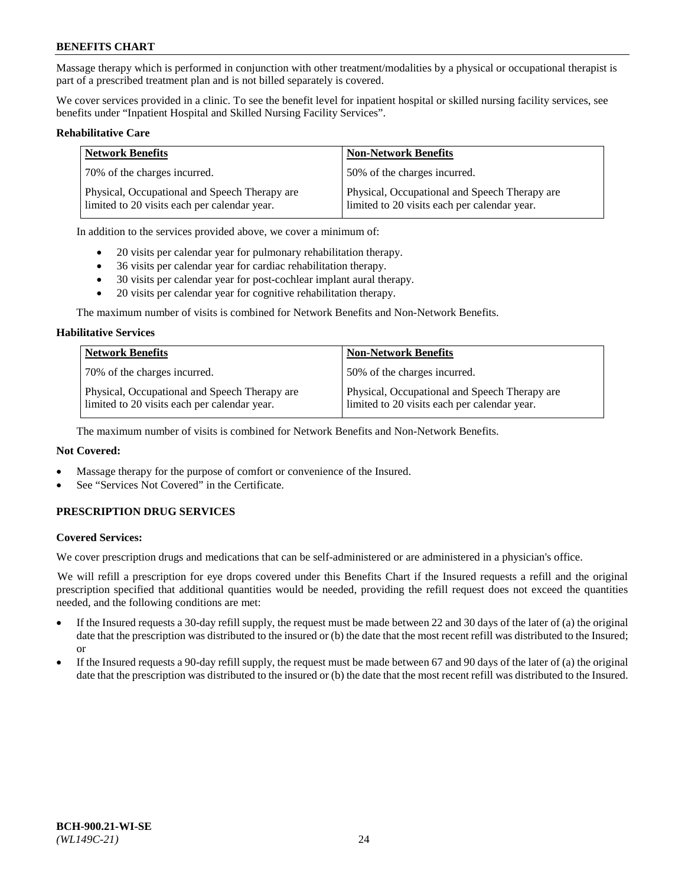Massage therapy which is performed in conjunction with other treatment/modalities by a physical or occupational therapist is part of a prescribed treatment plan and is not billed separately is covered.

We cover services provided in a clinic. To see the benefit level for inpatient hospital or skilled nursing facility services, see benefits under "Inpatient Hospital and Skilled Nursing Facility Services".

### **Rehabilitative Care**

| <b>Network Benefits</b>                                                                       | <b>Non-Network Benefits</b>                                                                   |
|-----------------------------------------------------------------------------------------------|-----------------------------------------------------------------------------------------------|
| 70% of the charges incurred.                                                                  | 50% of the charges incurred.                                                                  |
| Physical, Occupational and Speech Therapy are<br>limited to 20 visits each per calendar year. | Physical, Occupational and Speech Therapy are<br>limited to 20 visits each per calendar year. |

In addition to the services provided above, we cover a minimum of:

- 20 visits per calendar year for pulmonary rehabilitation therapy.
- 36 visits per calendar year for cardiac rehabilitation therapy.
- 30 visits per calendar year for post-cochlear implant aural therapy.
- 20 visits per calendar year for cognitive rehabilitation therapy.

The maximum number of visits is combined for Network Benefits and Non-Network Benefits.

#### **Habilitative Services**

| <b>Network Benefits</b>                                                                       | <b>Non-Network Benefits</b>                                                                   |
|-----------------------------------------------------------------------------------------------|-----------------------------------------------------------------------------------------------|
| 70% of the charges incurred.                                                                  | 50% of the charges incurred.                                                                  |
| Physical, Occupational and Speech Therapy are<br>limited to 20 visits each per calendar year. | Physical, Occupational and Speech Therapy are<br>limited to 20 visits each per calendar year. |

The maximum number of visits is combined for Network Benefits and Non-Network Benefits.

### **Not Covered:**

- Massage therapy for the purpose of comfort or convenience of the Insured.
- See "Services Not Covered" in the Certificate.

### **PRESCRIPTION DRUG SERVICES**

#### **Covered Services:**

We cover prescription drugs and medications that can be self-administered or are administered in a physician's office.

We will refill a prescription for eye drops covered under this Benefits Chart if the Insured requests a refill and the original prescription specified that additional quantities would be needed, providing the refill request does not exceed the quantities needed, and the following conditions are met:

- If the Insured requests a 30-day refill supply, the request must be made between 22 and 30 days of the later of (a) the original date that the prescription was distributed to the insured or (b) the date that the most recent refill was distributed to the Insured; or
- If the Insured requests a 90-day refill supply, the request must be made between 67 and 90 days of the later of (a) the original date that the prescription was distributed to the insured or (b) the date that the most recent refill was distributed to the Insured.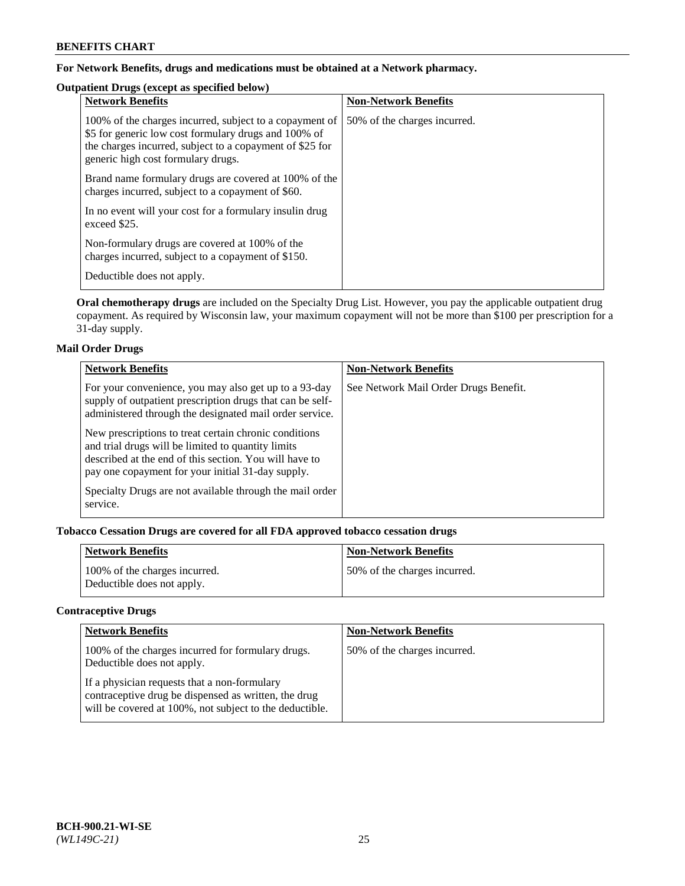## **For Network Benefits, drugs and medications must be obtained at a Network pharmacy.**

## **Outpatient Drugs (except as specified below)**

| <b>Network Benefits</b>                                                                                                                                                                                           | <b>Non-Network Benefits</b>  |
|-------------------------------------------------------------------------------------------------------------------------------------------------------------------------------------------------------------------|------------------------------|
| 100% of the charges incurred, subject to a copayment of<br>\$5 for generic low cost formulary drugs and 100% of<br>the charges incurred, subject to a copayment of \$25 for<br>generic high cost formulary drugs. | 50% of the charges incurred. |
| Brand name formulary drugs are covered at 100% of the<br>charges incurred, subject to a copayment of \$60.                                                                                                        |                              |
| In no event will your cost for a formulary insulin drug<br>exceed \$25.                                                                                                                                           |                              |
| Non-formulary drugs are covered at 100% of the<br>charges incurred, subject to a copayment of \$150.                                                                                                              |                              |
| Deductible does not apply.                                                                                                                                                                                        |                              |

**Oral chemotherapy drugs** are included on the Specialty Drug List. However, you pay the applicable outpatient drug copayment. As required by Wisconsin law, your maximum copayment will not be more than \$100 per prescription for a 31-day supply.

### **Mail Order Drugs**

| <b>Network Benefits</b>                                                                                                                                                                                                    | <b>Non-Network Benefits</b>           |
|----------------------------------------------------------------------------------------------------------------------------------------------------------------------------------------------------------------------------|---------------------------------------|
| For your convenience, you may also get up to a 93-day<br>supply of outpatient prescription drugs that can be self-<br>administered through the designated mail order service.                                              | See Network Mail Order Drugs Benefit. |
| New prescriptions to treat certain chronic conditions<br>and trial drugs will be limited to quantity limits<br>described at the end of this section. You will have to<br>pay one copayment for your initial 31-day supply. |                                       |
| Specialty Drugs are not available through the mail order<br>service.                                                                                                                                                       |                                       |

# **Tobacco Cessation Drugs are covered for all FDA approved tobacco cessation drugs**

| <b>Network Benefits</b>                                     | <b>Non-Network Benefits</b>  |
|-------------------------------------------------------------|------------------------------|
| 100% of the charges incurred.<br>Deductible does not apply. | 50% of the charges incurred. |

## **Contraceptive Drugs**

| <b>Network Benefits</b>                                                                                                                                         | <b>Non-Network Benefits</b>  |
|-----------------------------------------------------------------------------------------------------------------------------------------------------------------|------------------------------|
| 100% of the charges incurred for formulary drugs.<br>Deductible does not apply.                                                                                 | 50% of the charges incurred. |
| If a physician requests that a non-formulary<br>contraceptive drug be dispensed as written, the drug<br>will be covered at 100%, not subject to the deductible. |                              |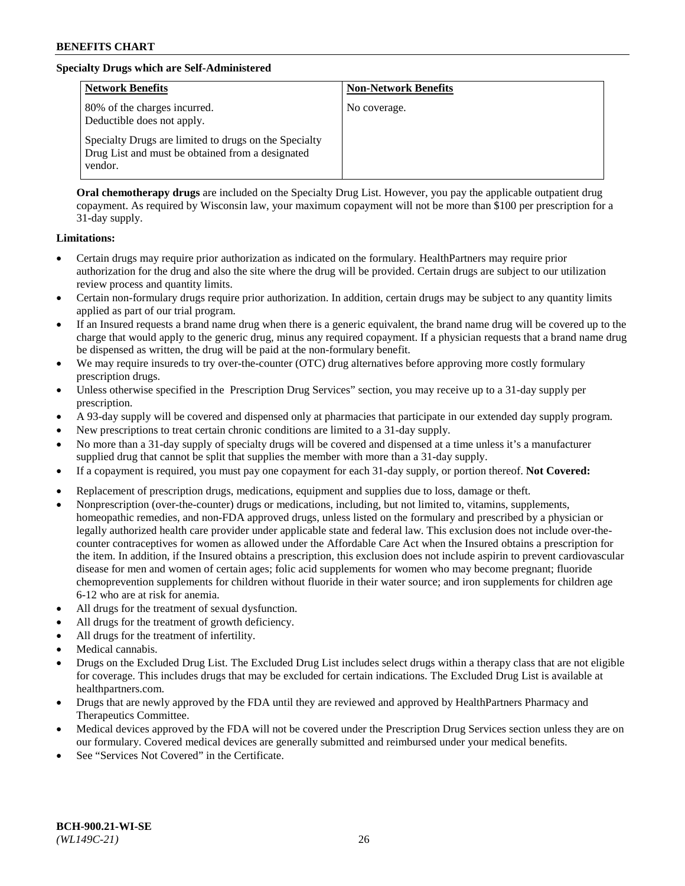## **Specialty Drugs which are Self-Administered**

| <b>Network Benefits</b>                                                                                              | <b>Non-Network Benefits</b> |
|----------------------------------------------------------------------------------------------------------------------|-----------------------------|
| 80% of the charges incurred.<br>Deductible does not apply.                                                           | No coverage.                |
| Specialty Drugs are limited to drugs on the Specialty<br>Drug List and must be obtained from a designated<br>vendor. |                             |

**Oral chemotherapy drugs** are included on the Specialty Drug List. However, you pay the applicable outpatient drug copayment. As required by Wisconsin law, your maximum copayment will not be more than \$100 per prescription for a 31-day supply.

### **Limitations:**

- Certain drugs may require prior authorization as indicated on the formulary. HealthPartners may require prior authorization for the drug and also the site where the drug will be provided. Certain drugs are subject to our utilization review process and quantity limits.
- Certain non-formulary drugs require prior authorization. In addition, certain drugs may be subject to any quantity limits applied as part of our trial program.
- If an Insured requests a brand name drug when there is a generic equivalent, the brand name drug will be covered up to the charge that would apply to the generic drug, minus any required copayment. If a physician requests that a brand name drug be dispensed as written, the drug will be paid at the non-formulary benefit.
- We may require insureds to try over-the-counter (OTC) drug alternatives before approving more costly formulary prescription drugs.
- Unless otherwise specified in the Prescription Drug Services" section, you may receive up to a 31-day supply per prescription.
- A 93-day supply will be covered and dispensed only at pharmacies that participate in our extended day supply program.
- New prescriptions to treat certain chronic conditions are limited to a 31-day supply.
- No more than a 31-day supply of specialty drugs will be covered and dispensed at a time unless it's a manufacturer supplied drug that cannot be split that supplies the member with more than a 31-day supply.
- If a copayment is required, you must pay one copayment for each 31-day supply, or portion thereof. **Not Covered:**
- Replacement of prescription drugs, medications, equipment and supplies due to loss, damage or theft.
- Nonprescription (over-the-counter) drugs or medications, including, but not limited to, vitamins, supplements, homeopathic remedies, and non-FDA approved drugs, unless listed on the formulary and prescribed by a physician or legally authorized health care provider under applicable state and federal law. This exclusion does not include over-thecounter contraceptives for women as allowed under the Affordable Care Act when the Insured obtains a prescription for the item. In addition, if the Insured obtains a prescription, this exclusion does not include aspirin to prevent cardiovascular disease for men and women of certain ages; folic acid supplements for women who may become pregnant; fluoride chemoprevention supplements for children without fluoride in their water source; and iron supplements for children age 6-12 who are at risk for anemia.
- All drugs for the treatment of sexual dysfunction.
- All drugs for the treatment of growth deficiency.
- All drugs for the treatment of infertility.
- Medical cannabis.
- Drugs on the Excluded Drug List. The Excluded Drug List includes select drugs within a therapy class that are not eligible for coverage. This includes drugs that may be excluded for certain indications. The Excluded Drug List is available at [healthpartners.com.](http://www.healthpartners.com/)
- Drugs that are newly approved by the FDA until they are reviewed and approved by HealthPartners Pharmacy and Therapeutics Committee.
- Medical devices approved by the FDA will not be covered under the Prescription Drug Services section unless they are on our formulary. Covered medical devices are generally submitted and reimbursed under your medical benefits.
- See "Services Not Covered" in the Certificate.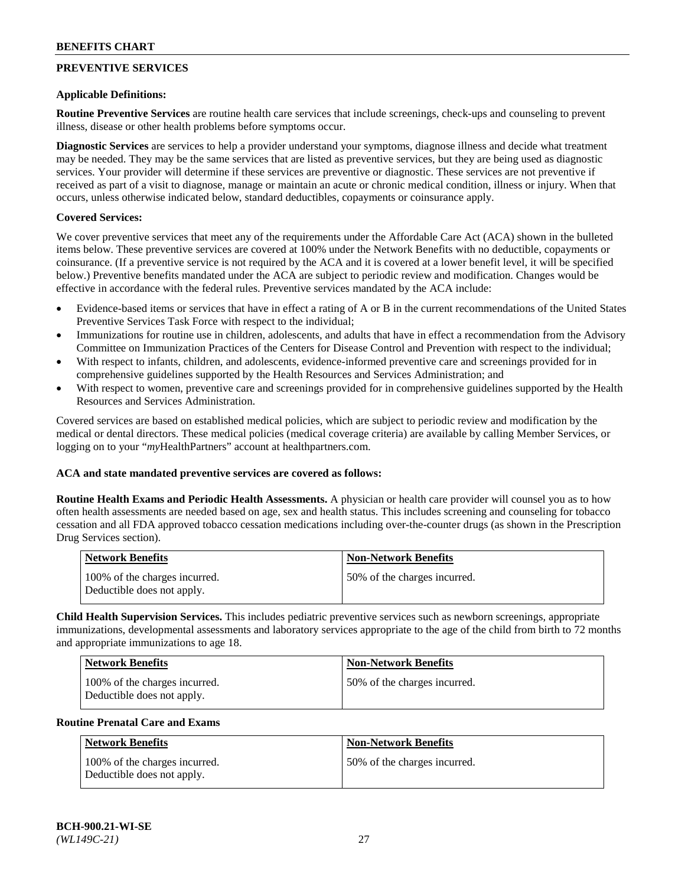## **PREVENTIVE SERVICES**

#### **Applicable Definitions:**

**Routine Preventive Services** are routine health care services that include screenings, check-ups and counseling to prevent illness, disease or other health problems before symptoms occur.

**Diagnostic Services** are services to help a provider understand your symptoms, diagnose illness and decide what treatment may be needed. They may be the same services that are listed as preventive services, but they are being used as diagnostic services. Your provider will determine if these services are preventive or diagnostic. These services are not preventive if received as part of a visit to diagnose, manage or maintain an acute or chronic medical condition, illness or injury. When that occurs, unless otherwise indicated below, standard deductibles, copayments or coinsurance apply.

### **Covered Services:**

We cover preventive services that meet any of the requirements under the Affordable Care Act (ACA) shown in the bulleted items below. These preventive services are covered at 100% under the Network Benefits with no deductible, copayments or coinsurance. (If a preventive service is not required by the ACA and it is covered at a lower benefit level, it will be specified below.) Preventive benefits mandated under the ACA are subject to periodic review and modification. Changes would be effective in accordance with the federal rules. Preventive services mandated by the ACA include:

- Evidence-based items or services that have in effect a rating of A or B in the current recommendations of the United States Preventive Services Task Force with respect to the individual;
- Immunizations for routine use in children, adolescents, and adults that have in effect a recommendation from the Advisory Committee on Immunization Practices of the Centers for Disease Control and Prevention with respect to the individual;
- With respect to infants, children, and adolescents, evidence-informed preventive care and screenings provided for in comprehensive guidelines supported by the Health Resources and Services Administration; and
- With respect to women, preventive care and screenings provided for in comprehensive guidelines supported by the Health Resources and Services Administration.

Covered services are based on established medical policies, which are subject to periodic review and modification by the medical or dental directors. These medical policies (medical coverage criteria) are available by calling Member Services, or logging on to your "*my*HealthPartners" account at [healthpartners.com.](https://www.healthpartners.com/hp/index.html)

#### **ACA and state mandated preventive services are covered as follows:**

**Routine Health Exams and Periodic Health Assessments.** A physician or health care provider will counsel you as to how often health assessments are needed based on age, sex and health status. This includes screening and counseling for tobacco cessation and all FDA approved tobacco cessation medications including over-the-counter drugs (as shown in the Prescription Drug Services section).

| Network Benefits                                            | <b>Non-Network Benefits</b>  |
|-------------------------------------------------------------|------------------------------|
| 100% of the charges incurred.<br>Deductible does not apply. | 50% of the charges incurred. |

**Child Health Supervision Services.** This includes pediatric preventive services such as newborn screenings, appropriate immunizations, developmental assessments and laboratory services appropriate to the age of the child from birth to 72 months and appropriate immunizations to age 18.

| Network Benefits                                            | <b>Non-Network Benefits</b>  |
|-------------------------------------------------------------|------------------------------|
| 100% of the charges incurred.<br>Deductible does not apply. | 50% of the charges incurred. |

#### **Routine Prenatal Care and Exams**

| Network Benefits                                            | <b>Non-Network Benefits</b>  |
|-------------------------------------------------------------|------------------------------|
| 100% of the charges incurred.<br>Deductible does not apply. | 50% of the charges incurred. |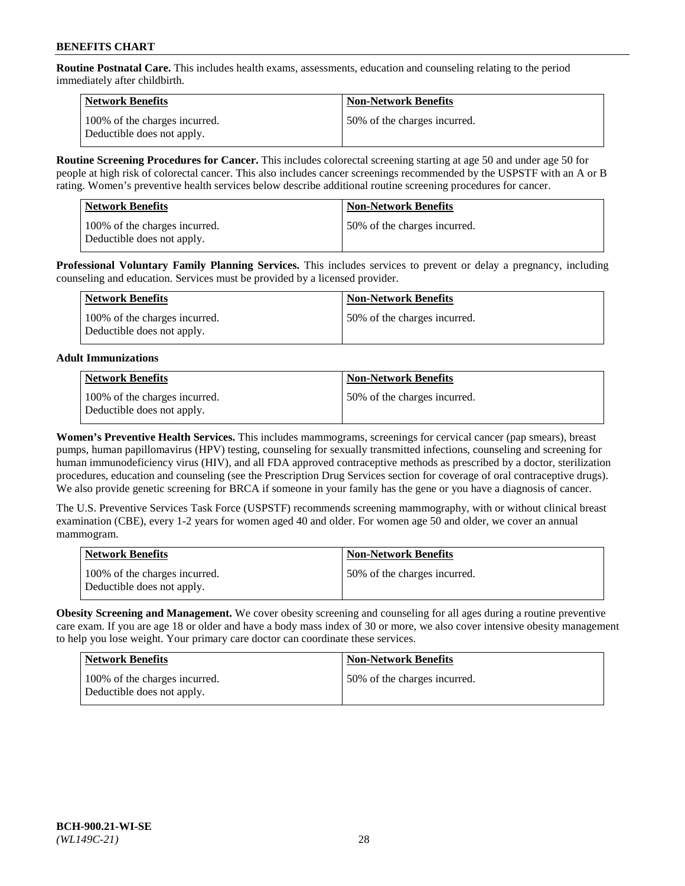**Routine Postnatal Care.** This includes health exams, assessments, education and counseling relating to the period immediately after childbirth.

| Network Benefits                                            | <b>Non-Network Benefits</b>  |
|-------------------------------------------------------------|------------------------------|
| 100% of the charges incurred.<br>Deductible does not apply. | 50% of the charges incurred. |

**Routine Screening Procedures for Cancer.** This includes colorectal screening starting at age 50 and under age 50 for people at high risk of colorectal cancer. This also includes cancer screenings recommended by the USPSTF with an A or B rating. Women's preventive health services below describe additional routine screening procedures for cancer.

| <b>Network Benefits</b>                                     | <b>Non-Network Benefits</b>  |
|-------------------------------------------------------------|------------------------------|
| 100% of the charges incurred.<br>Deductible does not apply. | 50% of the charges incurred. |

**Professional Voluntary Family Planning Services.** This includes services to prevent or delay a pregnancy, including counseling and education. Services must be provided by a licensed provider.

| Network Benefits                                            | <b>Non-Network Benefits</b>  |
|-------------------------------------------------------------|------------------------------|
| 100% of the charges incurred.<br>Deductible does not apply. | 50% of the charges incurred. |

### **Adult Immunizations**

| Network Benefits                                            | Non-Network Benefits         |
|-------------------------------------------------------------|------------------------------|
| 100% of the charges incurred.<br>Deductible does not apply. | 50% of the charges incurred. |

**Women's Preventive Health Services.** This includes mammograms, screenings for cervical cancer (pap smears), breast pumps, human papillomavirus (HPV) testing, counseling for sexually transmitted infections, counseling and screening for human immunodeficiency virus (HIV), and all FDA approved contraceptive methods as prescribed by a doctor, sterilization procedures, education and counseling (see the Prescription Drug Services section for coverage of oral contraceptive drugs). We also provide genetic screening for BRCA if someone in your family has the gene or you have a diagnosis of cancer.

The U.S. Preventive Services Task Force (USPSTF) recommends screening mammography, with or without clinical breast examination (CBE), every 1-2 years for women aged 40 and older. For women age 50 and older, we cover an annual mammogram.

| <b>Network Benefits</b>                                     | <b>Non-Network Benefits</b>  |
|-------------------------------------------------------------|------------------------------|
| 100% of the charges incurred.<br>Deductible does not apply. | 50% of the charges incurred. |

**Obesity Screening and Management.** We cover obesity screening and counseling for all ages during a routine preventive care exam. If you are age 18 or older and have a body mass index of 30 or more, we also cover intensive obesity management to help you lose weight. Your primary care doctor can coordinate these services.

| <b>Network Benefits</b>                                     | <b>Non-Network Benefits</b>  |
|-------------------------------------------------------------|------------------------------|
| 100% of the charges incurred.<br>Deductible does not apply. | 50% of the charges incurred. |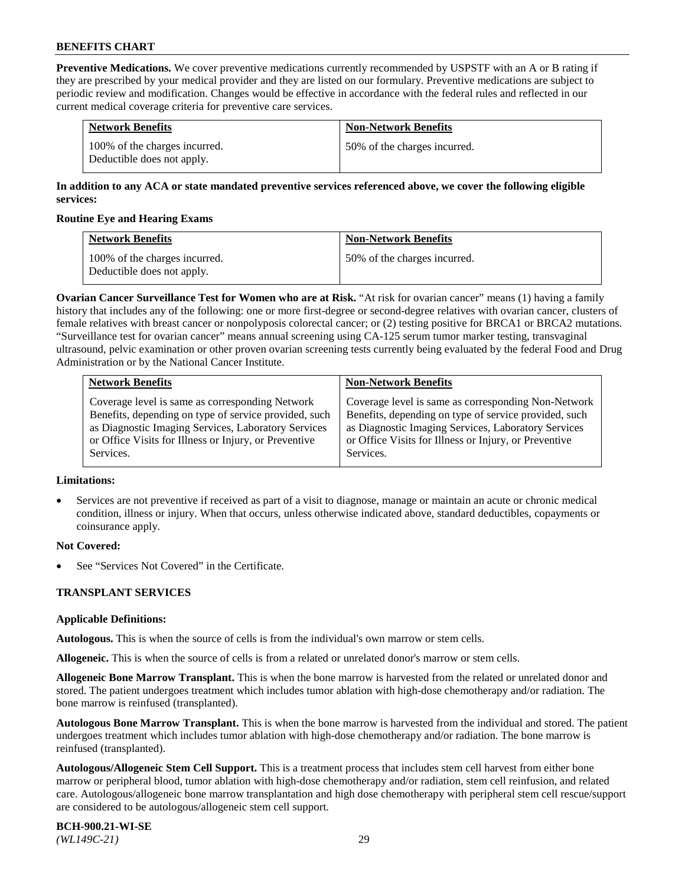**Preventive Medications.** We cover preventive medications currently recommended by USPSTF with an A or B rating if they are prescribed by your medical provider and they are listed on our formulary. Preventive medications are subject to periodic review and modification. Changes would be effective in accordance with the federal rules and reflected in our current medical coverage criteria for preventive care services.

| <b>Network Benefits</b>                                     | <b>Non-Network Benefits</b>  |
|-------------------------------------------------------------|------------------------------|
| 100% of the charges incurred.<br>Deductible does not apply. | 50% of the charges incurred. |

### **In addition to any ACA or state mandated preventive services referenced above, we cover the following eligible services:**

### **Routine Eye and Hearing Exams**

| <b>Network Benefits</b>                                     | <b>Non-Network Benefits</b>  |
|-------------------------------------------------------------|------------------------------|
| 100% of the charges incurred.<br>Deductible does not apply. | 50% of the charges incurred. |

**Ovarian Cancer Surveillance Test for Women who are at Risk.** "At risk for ovarian cancer" means (1) having a family history that includes any of the following: one or more first-degree or second-degree relatives with ovarian cancer, clusters of female relatives with breast cancer or nonpolyposis colorectal cancer; or (2) testing positive for BRCA1 or BRCA2 mutations. "Surveillance test for ovarian cancer" means annual screening using CA-125 serum tumor marker testing, transvaginal ultrasound, pelvic examination or other proven ovarian screening tests currently being evaluated by the federal Food and Drug Administration or by the National Cancer Institute.

| <b>Network Benefits</b>                               | <b>Non-Network Benefits</b>                           |
|-------------------------------------------------------|-------------------------------------------------------|
| Coverage level is same as corresponding Network       | Coverage level is same as corresponding Non-Network   |
| Benefits, depending on type of service provided, such | Benefits, depending on type of service provided, such |
| as Diagnostic Imaging Services, Laboratory Services   | as Diagnostic Imaging Services, Laboratory Services   |
| or Office Visits for Illness or Injury, or Preventive | or Office Visits for Illness or Injury, or Preventive |
| Services.                                             | Services.                                             |

#### **Limitations:**

• Services are not preventive if received as part of a visit to diagnose, manage or maintain an acute or chronic medical condition, illness or injury. When that occurs, unless otherwise indicated above, standard deductibles, copayments or coinsurance apply.

### **Not Covered:**

See "Services Not Covered" in the Certificate.

### **TRANSPLANT SERVICES**

### **Applicable Definitions:**

**Autologous.** This is when the source of cells is from the individual's own marrow or stem cells.

**Allogeneic.** This is when the source of cells is from a related or unrelated donor's marrow or stem cells.

**Allogeneic Bone Marrow Transplant.** This is when the bone marrow is harvested from the related or unrelated donor and stored. The patient undergoes treatment which includes tumor ablation with high-dose chemotherapy and/or radiation. The bone marrow is reinfused (transplanted).

**Autologous Bone Marrow Transplant.** This is when the bone marrow is harvested from the individual and stored. The patient undergoes treatment which includes tumor ablation with high-dose chemotherapy and/or radiation. The bone marrow is reinfused (transplanted).

**Autologous/Allogeneic Stem Cell Support.** This is a treatment process that includes stem cell harvest from either bone marrow or peripheral blood, tumor ablation with high-dose chemotherapy and/or radiation, stem cell reinfusion, and related care. Autologous/allogeneic bone marrow transplantation and high dose chemotherapy with peripheral stem cell rescue/support are considered to be autologous/allogeneic stem cell support.

**BCH-900.21-WI-SE**  *(WL149C-21)* 29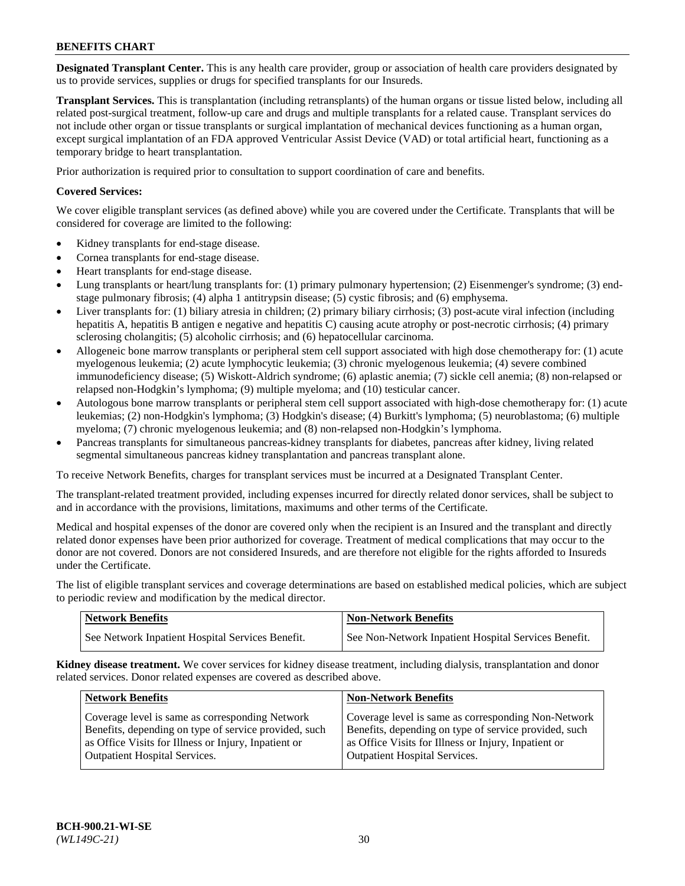**Designated Transplant Center.** This is any health care provider, group or association of health care providers designated by us to provide services, supplies or drugs for specified transplants for our Insureds.

**Transplant Services.** This is transplantation (including retransplants) of the human organs or tissue listed below, including all related post-surgical treatment, follow-up care and drugs and multiple transplants for a related cause. Transplant services do not include other organ or tissue transplants or surgical implantation of mechanical devices functioning as a human organ, except surgical implantation of an FDA approved Ventricular Assist Device (VAD) or total artificial heart, functioning as a temporary bridge to heart transplantation.

Prior authorization is required prior to consultation to support coordination of care and benefits.

### **Covered Services:**

We cover eligible transplant services (as defined above) while you are covered under the Certificate. Transplants that will be considered for coverage are limited to the following:

- Kidney transplants for end-stage disease.
- Cornea transplants for end-stage disease.
- Heart transplants for end-stage disease.
- Lung transplants or heart/lung transplants for: (1) primary pulmonary hypertension; (2) Eisenmenger's syndrome; (3) endstage pulmonary fibrosis; (4) alpha 1 antitrypsin disease; (5) cystic fibrosis; and (6) emphysema.
- Liver transplants for: (1) biliary atresia in children; (2) primary biliary cirrhosis; (3) post-acute viral infection (including hepatitis A, hepatitis B antigen e negative and hepatitis C) causing acute atrophy or post-necrotic cirrhosis; (4) primary sclerosing cholangitis; (5) alcoholic cirrhosis; and (6) hepatocellular carcinoma.
- Allogeneic bone marrow transplants or peripheral stem cell support associated with high dose chemotherapy for: (1) acute myelogenous leukemia; (2) acute lymphocytic leukemia; (3) chronic myelogenous leukemia; (4) severe combined immunodeficiency disease; (5) Wiskott-Aldrich syndrome; (6) aplastic anemia; (7) sickle cell anemia; (8) non-relapsed or relapsed non-Hodgkin's lymphoma; (9) multiple myeloma; and (10) testicular cancer.
- Autologous bone marrow transplants or peripheral stem cell support associated with high-dose chemotherapy for: (1) acute leukemias; (2) non-Hodgkin's lymphoma; (3) Hodgkin's disease; (4) Burkitt's lymphoma; (5) neuroblastoma; (6) multiple myeloma; (7) chronic myelogenous leukemia; and (8) non-relapsed non-Hodgkin's lymphoma.
- Pancreas transplants for simultaneous pancreas-kidney transplants for diabetes, pancreas after kidney, living related segmental simultaneous pancreas kidney transplantation and pancreas transplant alone.

To receive Network Benefits, charges for transplant services must be incurred at a Designated Transplant Center.

The transplant-related treatment provided, including expenses incurred for directly related donor services, shall be subject to and in accordance with the provisions, limitations, maximums and other terms of the Certificate.

Medical and hospital expenses of the donor are covered only when the recipient is an Insured and the transplant and directly related donor expenses have been prior authorized for coverage. Treatment of medical complications that may occur to the donor are not covered. Donors are not considered Insureds, and are therefore not eligible for the rights afforded to Insureds under the Certificate.

The list of eligible transplant services and coverage determinations are based on established medical policies, which are subject to periodic review and modification by the medical director.

| <b>Network Benefits</b>                          | <b>Non-Network Benefits</b>                            |
|--------------------------------------------------|--------------------------------------------------------|
| See Network Inpatient Hospital Services Benefit. | I See Non-Network Inpatient Hospital Services Benefit. |

**Kidney disease treatment.** We cover services for kidney disease treatment, including dialysis, transplantation and donor related services. Donor related expenses are covered as described above.

| <b>Network Benefits</b>                                                                                  | <b>Non-Network Benefits</b>                                                                                  |
|----------------------------------------------------------------------------------------------------------|--------------------------------------------------------------------------------------------------------------|
| Coverage level is same as corresponding Network<br>Benefits, depending on type of service provided, such | Coverage level is same as corresponding Non-Network<br>Benefits, depending on type of service provided, such |
| as Office Visits for Illness or Injury, Inpatient or<br><b>Outpatient Hospital Services.</b>             | as Office Visits for Illness or Injury, Inpatient or<br><b>Outpatient Hospital Services.</b>                 |
|                                                                                                          |                                                                                                              |